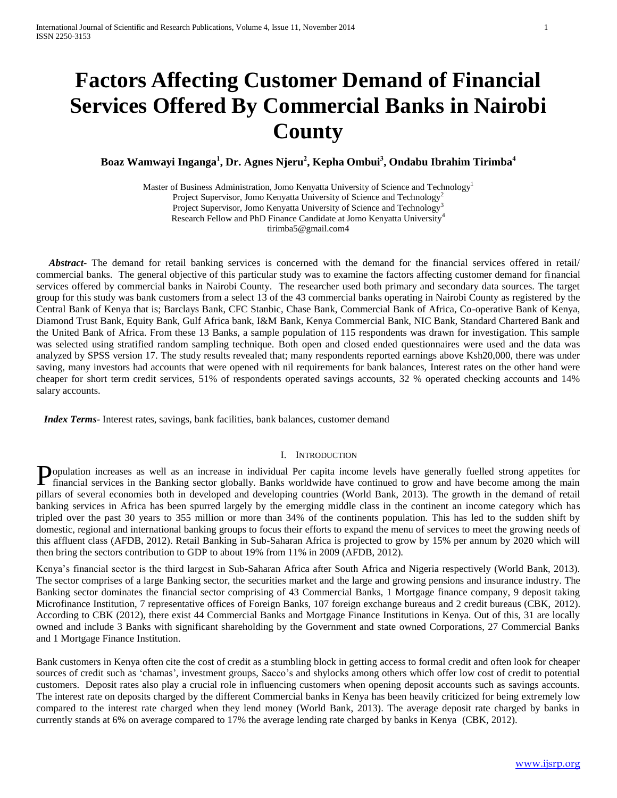# **Factors Affecting Customer Demand of Financial Services Offered By Commercial Banks in Nairobi County**

# **Boaz Wamwayi Inganga<sup>1</sup> , Dr. Agnes Njeru<sup>2</sup> , Kepha Ombui<sup>3</sup> , Ondabu Ibrahim Tirimba<sup>4</sup>**

Master of Business Administration, Jomo Kenyatta University of Science and Technology<sup>1</sup> Project Supervisor, Jomo Kenyatta University of Science and Technology<sup>2</sup> Project Supervisor, Jomo Kenyatta University of Science and Technology Research Fellow and PhD Finance Candidate at Jomo Kenyatta University<sup>4</sup> tirimba5@gmail.com4

 *Abstract*- The demand for retail banking services is concerned with the demand for the financial services offered in retail/ commercial banks. The general objective of this particular study was to examine the factors affecting customer demand for financial services offered by commercial banks in Nairobi County. The researcher used both primary and secondary data sources. The target group for this study was bank customers from a select 13 of the 43 commercial banks operating in Nairobi County as registered by the Central Bank of Kenya that is; Barclays Bank, CFC Stanbic, Chase Bank, Commercial Bank of Africa, Co-operative Bank of Kenya, Diamond Trust Bank, Equity Bank, Gulf Africa bank, I&M Bank, Kenya Commercial Bank, NIC Bank, Standard Chartered Bank and the United Bank of Africa. From these 13 Banks, a sample population of 115 respondents was drawn for investigation. This sample was selected using stratified random sampling technique. Both open and closed ended questionnaires were used and the data was analyzed by SPSS version 17. The study results revealed that; many respondents reported earnings above Ksh20,000, there was under saving, many investors had accounts that were opened with nil requirements for bank balances, Interest rates on the other hand were cheaper for short term credit services, 51% of respondents operated savings accounts, 32 % operated checking accounts and 14% salary accounts.

 *Index Terms-* Interest rates, savings, bank facilities, bank balances, customer demand

#### I. INTRODUCTION

opulation increases as well as an increase in individual Per capita income levels have generally fuelled strong appetites for Population increases as well as an increase in individual Per capita income levels have generally fuelled strong appetites for financial services in the Banking sector globally. Banks worldwide have continued to grow and h pillars of several economies both in developed and developing countries (World Bank, 2013). The growth in the demand of retail banking services in Africa has been spurred largely by the emerging middle class in the continent an income category which has tripled over the past 30 years to 355 million or more than 34% of the continents population. This has led to the sudden shift by domestic, regional and international banking groups to focus their efforts to expand the menu of services to meet the growing needs of this affluent class (AFDB, 2012). Retail Banking in Sub-Saharan Africa is projected to grow by 15% per annum by 2020 which will then bring the sectors contribution to GDP to about 19% from 11% in 2009 (AFDB, 2012).

Kenya's financial sector is the third largest in Sub-Saharan Africa after South Africa and Nigeria respectively (World Bank, 2013). The sector comprises of a large Banking sector, the securities market and the large and growing pensions and insurance industry. The Banking sector dominates the financial sector comprising of 43 Commercial Banks, 1 Mortgage finance company, 9 deposit taking Microfinance Institution, 7 representative offices of Foreign Banks, 107 foreign exchange bureaus and 2 credit bureaus (CBK, 2012). According to CBK (2012), there exist 44 Commercial Banks and Mortgage Finance Institutions in Kenya. Out of this, 31 are locally owned and include 3 Banks with significant shareholding by the Government and state owned Corporations, 27 Commercial Banks and 1 Mortgage Finance Institution.

Bank customers in Kenya often cite the cost of credit as a stumbling block in getting access to formal credit and often look for cheaper sources of credit such as 'chamas', investment groups, Sacco's and shylocks among others which offer low cost of credit to potential customers. Deposit rates also play a crucial role in influencing customers when opening deposit accounts such as savings accounts. The interest rate on deposits charged by the different Commercial banks in Kenya has been heavily criticized for being extremely low compared to the interest rate charged when they lend money (World Bank, 2013). The average deposit rate charged by banks in currently stands at 6% on average compared to 17% the average lending rate charged by banks in Kenya (CBK, 2012).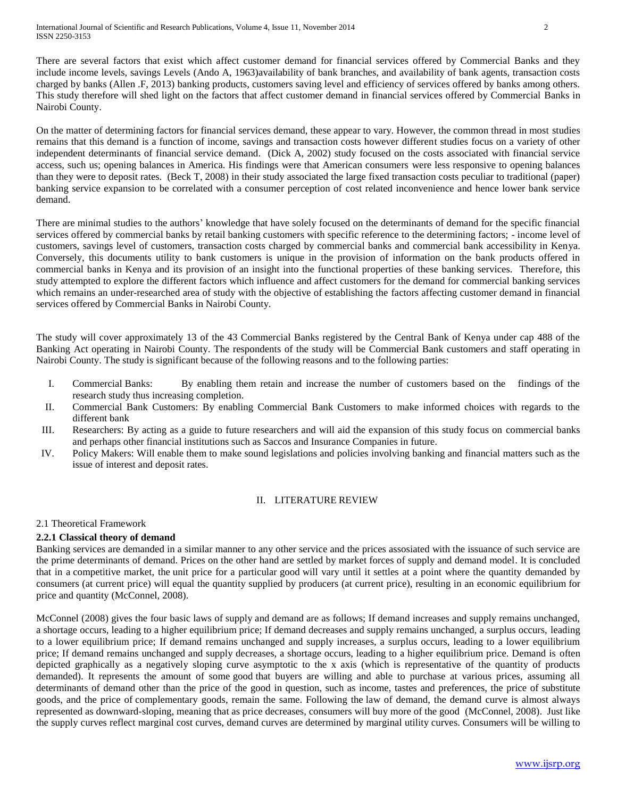International Journal of Scientific and Research Publications, Volume 4, Issue 11, November 2014 2 ISSN 2250-3153

There are several factors that exist which affect customer demand for financial services offered by Commercial Banks and they include income levels, savings Levels (Ando A, 1963)availability of bank branches, and availability of bank agents, transaction costs charged by banks (Allen .F, 2013) banking products, customers saving level and efficiency of services offered by banks among others. This study therefore will shed light on the factors that affect customer demand in financial services offered by Commercial Banks in Nairobi County.

On the matter of determining factors for financial services demand, these appear to vary. However, the common thread in most studies remains that this demand is a function of income, savings and transaction costs however different studies focus on a variety of other independent determinants of financial service demand. (Dick A, 2002) study focused on the costs associated with financial service access, such us; opening balances in America. His findings were that American consumers were less responsive to opening balances than they were to deposit rates. (Beck T, 2008) in their study associated the large fixed transaction costs peculiar to traditional (paper) banking service expansion to be correlated with a consumer perception of cost related inconvenience and hence lower bank service demand.

There are minimal studies to the authors' knowledge that have solely focused on the determinants of demand for the specific financial services offered by commercial banks by retail banking customers with specific reference to the determining factors; - income level of customers, savings level of customers, transaction costs charged by commercial banks and commercial bank accessibility in Kenya. Conversely, this documents utility to bank customers is unique in the provision of information on the bank products offered in commercial banks in Kenya and its provision of an insight into the functional properties of these banking services. Therefore, this study attempted to explore the different factors which influence and affect customers for the demand for commercial banking services which remains an under-researched area of study with the objective of establishing the factors affecting customer demand in financial services offered by Commercial Banks in Nairobi County.

The study will cover approximately 13 of the 43 Commercial Banks registered by the Central Bank of Kenya under cap 488 of the Banking Act operating in Nairobi County. The respondents of the study will be Commercial Bank customers and staff operating in Nairobi County. The study is significant because of the following reasons and to the following parties:

- I. Commercial Banks: By enabling them retain and increase the number of customers based on the findings of the research study thus increasing completion.
- II. Commercial Bank Customers: By enabling Commercial Bank Customers to make informed choices with regards to the different bank
- III. Researchers: By acting as a guide to future researchers and will aid the expansion of this study focus on commercial banks and perhaps other financial institutions such as Saccos and Insurance Companies in future.
- IV. Policy Makers: Will enable them to make sound legislations and policies involving banking and financial matters such as the issue of interest and deposit rates.

## II. LITERATURE REVIEW

# 2.1 Theoretical Framework

# **2.2.1 Classical theory of demand**

Banking services are demanded in a similar manner to any other service and the prices assosiated with the issuance of such service are the prime determinants of demand. Prices on the other hand are settled by market forces of supply and demand model. It is concluded that in a [competitive market,](http://en.wikipedia.org/wiki/Perfect_competition) the [unit price](http://en.wikipedia.org/wiki/Unit_price) for a particular [good](http://en.wikipedia.org/wiki/Good_(economics)) will vary until it settles at a point where the quantity demanded by consumers (at current price) will equal the quantity supplied by producers (at current price), resulting in an economic equilibrium for price and quantity (McConnel, 2008).

McConnel (2008) gives the four basic laws of supply and [demand](http://en.wikipedia.org/wiki/Demand) are as follows; If demand increases and supply remains unchanged, a shortage occurs, leading to a higher equilibrium price; If demand decreases and supply remains unchanged, a surplus occurs, leading to a lower equilibrium price; If demand remains unchanged and supply increases, a surplus occurs, leading to a lower equilibrium price; If demand remains unchanged and supply decreases, a shortage occurs, leading to a higher equilibrium price. Demand is often depicted graphically as a negatively sloping curve asymptotic to the x axis (which is representative of the quantity of products demanded). It represents the amount of some [good](http://en.wikipedia.org/wiki/Good_(economics)) that buyers are willing and able to purchase at various prices, assuming all determinants of demand other than the price of the good in question, such as income, tastes and preferences, the price of [substitute](http://en.wikipedia.org/wiki/Substitute_good)  [goods,](http://en.wikipedia.org/wiki/Substitute_good) and the price of [complementary goods,](http://en.wikipedia.org/wiki/Complementary_good) remain the same. Following the law of demand, the demand curve is almost always represented as downward-sloping, meaning that as price decreases, consumers will buy more of the good (McConnel, 2008). Just like the supply curves reflect marginal cost curves, demand curves are determined by [marginal utility](http://en.wikipedia.org/wiki/Marginal_utility) curves. Consumers will be willing to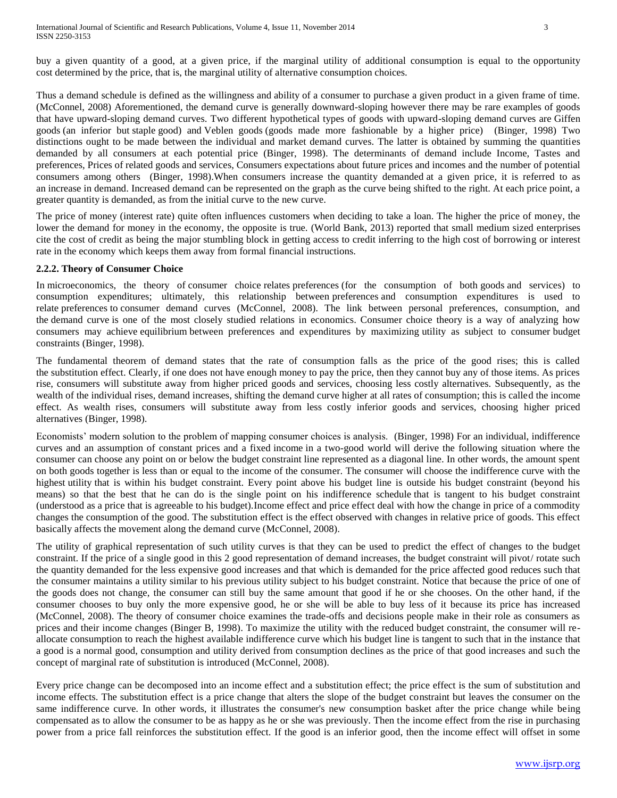buy a given quantity of a good, at a given price, if the marginal utility of additional consumption is equal to the [opportunity](http://en.wikipedia.org/wiki/Opportunity_cost)  [cost](http://en.wikipedia.org/wiki/Opportunity_cost) determined by the price, that is, the marginal utility of alternative consumption choices.

Thus a demand schedule is defined as the willingness and ability of a consumer to purchase a given product in a given frame of time. (McConnel, 2008) Aforementioned, the demand curve is generally downward-sloping however there may be rare examples of goods that have upward-sloping demand curves. Two different hypothetical types of goods with upward-sloping demand curves are [Giffen](http://en.wikipedia.org/wiki/Giffen_good)  [goods](http://en.wikipedia.org/wiki/Giffen_good) (an inferior but [staple](http://en.wikipedia.org/wiki/Staple_food) good) and [Veblen goods](http://en.wikipedia.org/wiki/Veblen_good) (goods made more fashionable by a higher price) (Binger, 1998) Two distinctions ought to be made between the individual and market demand curves. The latter is obtained by summing the quantities demanded by all consumers at each potential price (Binger, 1998). The determinants of demand include Income, Tastes and preferences, Prices of related goods and services, Consumers expectations about future prices and incomes and the number of potential consumers among others (Binger, 1998).When consumers increase the quantity demanded at a given price, it is referred to as an increase in demand. Increased demand can be represented on the graph as the curve being shifted to the right. At each price point, a greater quantity is demanded, as from the initial curve to the new curve.

The price of money (interest rate) quite often influences customers when deciding to take a loan. The higher the price of money, the lower the demand for money in the economy, the opposite is true. (World Bank, 2013) reported that small medium sized enterprises cite the cost of credit as being the major stumbling block in getting access to credit inferring to the high cost of borrowing or interest rate in the economy which keeps them away from formal financial instructions.

## **2.2.2. Theory of Consumer Choice**

In microeconomics, the theory of consumer choice relates preferences (for the consumption of both goods and services) to consumption expenditures; ultimately, this relationship between preferences and consumption expenditures is used to relate preferences to consumer demand curves (McConnel, 2008). The link between personal preferences, consumption, and the demand curve is one of the most closely studied relations in economics. Consumer choice theory is a way of analyzing how consumers may achieve equilibrium between preferences and expenditures by maximizing utility as subject to consumer budget constraints (Binger, 1998).

The fundamental theorem of demand states that the rate of consumption falls as the price of the good rises; this is called the substitution effect. Clearly, if one does not have enough money to pay the price, then they cannot buy any of those items. As prices rise, consumers will substitute away from higher priced goods and services, choosing less costly alternatives. Subsequently, as the wealth of the individual rises, demand increases, shifting the demand curve higher at all rates of consumption; this is called the income effect. As wealth rises, consumers will substitute away from less costly inferior goods and services, choosing higher priced alternatives (Binger, 1998).

Economists' modern solution to the problem of mapping consumer choices is analysis. (Binger, 1998) For an individual, indifference curves and an assumption of constant prices and a fixed income in a two-good world will derive the following situation where the consumer can choose any point on or below the budget constraint line represented as a diagonal line. In other words, the amount spent on both goods together is less than or equal to the income of the consumer. The consumer will choose the indifference curve with the highest utility that is within his budget constraint. Every point above his budget line is outside his budget constraint (beyond his means) so that the best that he can do is the single point on his indifference schedule that is tangent to his budget constraint (understood as a price that is agreeable to his budget).Income effect and price effect deal with how the change in price of a commodity changes the consumption of the good. The substitution effect is the effect observed with changes in relative price of goods. This effect basically affects the movement along the demand curve (McConnel, 2008).

The utility of graphical representation of such utility curves is that they can be used to predict the effect of changes to the budget constraint. If the price of a single good in this 2 good representation of demand increases, the budget constraint will pivot/ rotate such the quantity demanded for the less expensive good increases and that which is demanded for the price affected good reduces such that the consumer maintains a utility similar to his previous utility subject to his budget constraint. Notice that because the price of one of the goods does not change, the consumer can still buy the same amount that good if he or she chooses. On the other hand, if the consumer chooses to buy only the more expensive good, he or she will be able to buy less of it because its price has increased (McConnel, 2008). The theory of consumer choice examines the trade-offs and decisions people make in their role as consumers as prices and their income changes (Binger B, 1998). To maximize the utility with the reduced budget constraint, the consumer will reallocate consumption to reach the highest available indifference curve which his budget line is tangent to such that in the instance that a good is a normal good, consumption and utility derived from consumption declines as the price of that good increases and such the concept of marginal rate of substitution is introduced (McConnel, 2008).

Every price change can be decomposed into an income effect and a substitution effect; the price effect is the sum of substitution and income effects. The substitution effect is a price change that alters the slope of the budget constraint but leaves the consumer on the same indifference curve. In other words, it illustrates the consumer's new consumption basket after the price change while being compensated as to allow the consumer to be as happy as he or she was previously. Then the income effect from the rise in purchasing power from a price fall reinforces the substitution effect. If the good is an inferior good, then the income effect will offset in some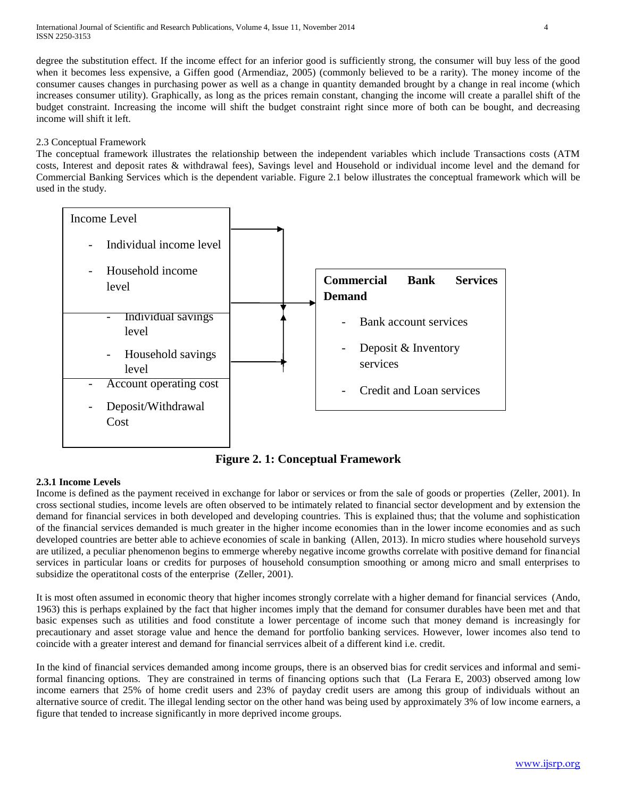degree the substitution effect. If the income effect for an inferior good is sufficiently strong, the consumer will buy less of the good when it becomes less expensive, a Giffen good (Armendiaz, 2005) (commonly believed to be a rarity). The money income of the consumer causes changes in purchasing power as well as a change in quantity demanded brought by a change in real income (which increases consumer utility). Graphically, as long as the prices remain constant, changing the income will create a parallel shift of the budget constraint. Increasing the income will shift the budget constraint right since more of both can be bought, and decreasing income will shift it left.

## 2.3 Conceptual Framework

The conceptual framework illustrates the relationship between the independent variables which include Transactions costs (ATM costs, Interest and deposit rates & withdrawal fees), Savings level and Household or individual income level and the demand for Commercial Banking Services which is the dependent variable. Figure 2.1 below illustrates the conceptual framework which will be used in the study.



**Figure 2. 1: Conceptual Framework**

# **2.3.1 Income Levels**

Income is defined as the payment received in exchange for labor or services or from the sale of goods or properties (Zeller, 2001). In cross sectional studies, income levels are often observed to be intimately related to financial sector development and by extension the demand for financial services in both developed and developing countries. This is explained thus; that the volume and sophistication of the financial services demanded is much greater in the higher income economies than in the lower income economies and as such developed countries are better able to achieve economies of scale in banking (Allen, 2013). In micro studies where household surveys are utilized, a peculiar phenomenon begins to emmerge whereby negative income growths correlate with positive demand for financial services in particular loans or credits for purposes of household consumption smoothing or among micro and small enterprises to subsidize the operatitonal costs of the enterprise (Zeller, 2001).

It is most often assumed in economic theory that higher incomes strongly correlate with a higher demand for financial services (Ando, 1963) this is perhaps explained by the fact that higher incomes imply that the demand for consumer durables have been met and that basic expenses such as utilities and food constitute a lower percentage of income such that money demand is increasingly for precautionary and asset storage value and hence the demand for portfolio banking services. However, lower incomes also tend to coincide with a greater interest and demand for financial serrvices albeit of a different kind i.e. credit.

In the kind of financial services demanded among income groups, there is an observed bias for credit services and informal and semiformal financing options. They are constrained in terms of financing options such that (La Ferara E, 2003) observed among low income earners that 25% of home credit users and 23% of payday credit users are among this group of individuals without an alternative source of credit. The illegal lending sector on the other hand was being used by approximately 3% of low income earners, a figure that tended to increase significantly in more deprived income groups.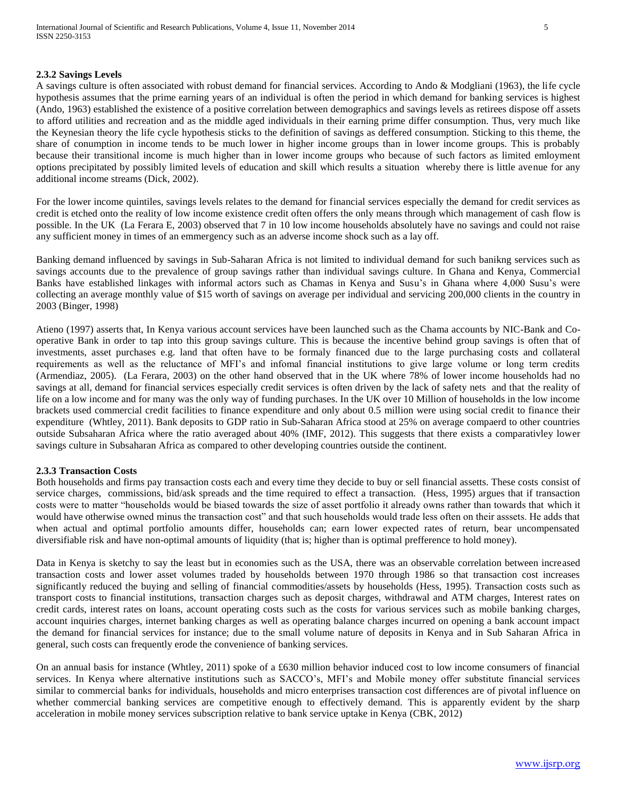## **2.3.2 Savings Levels**

A savings culture is often associated with robust demand for financial services. According to Ando & Modgliani (1963), the life cycle hypothesis assumes that the prime earning years of an individual is often the period in which demand for banking services is highest (Ando, 1963) established the existence of a positive correlation between demographics and savings levels as retirees dispose off assets to afford utilities and recreation and as the middle aged individuals in their earning prime differ consumption. Thus, very much like the Keynesian theory the life cycle hypothesis sticks to the definition of savings as deffered consumption. Sticking to this theme, the share of conumption in income tends to be much lower in higher income groups than in lower income groups. This is probably because their transitional income is much higher than in lower income groups who because of such factors as limited emloyment options precipitated by possibly limited levels of education and skill which results a situation whereby there is little avenue for any additional income streams (Dick, 2002).

For the lower income quintiles, savings levels relates to the demand for financial services especially the demand for credit services as credit is etched onto the reality of low income existence credit often offers the only means through which management of cash flow is possible. In the UK (La Ferara E, 2003) observed that 7 in 10 low income households absolutely have no savings and could not raise any sufficient money in times of an emmergency such as an adverse income shock such as a lay off.

Banking demand influenced by savings in Sub-Saharan Africa is not limited to individual demand for such banikng services such as savings accounts due to the prevalence of group savings rather than individual savings culture. In Ghana and Kenya, Commercial Banks have established linkages with informal actors such as Chamas in Kenya and Susu's in Ghana where 4,000 Susu's were collecting an average monthly value of \$15 worth of savings on average per individual and servicing 200,000 clients in the country in 2003 (Binger, 1998)

Atieno (1997) asserts that, In Kenya various account services have been launched such as the Chama accounts by NIC-Bank and Cooperative Bank in order to tap into this group savings culture. This is because the incentive behind group savings is often that of investments, asset purchases e.g. land that often have to be formaly financed due to the large purchasing costs and collateral requirements as well as the reluctance of MFI's and infomal financial institutions to give large volume or long term credits (Armendiaz, 2005). (La Ferara, 2003) on the other hand observed that in the UK where 78% of lower income households had no savings at all, demand for financial services especially credit services is often driven by the lack of safety nets and that the reality of life on a low income and for many was the only way of funding purchases. In the UK over 10 Million of households in the low income brackets used commercial credit facilities to finance expenditure and only about 0.5 million were using social credit to finance their expenditure (Whtley, 2011). Bank deposits to GDP ratio in Sub-Saharan Africa stood at 25% on average compaerd to other countries outside Subsaharan Africa where the ratio averaged about 40% (IMF, 2012). This suggests that there exists a comparativley lower savings culture in Subsaharan Africa as compared to other developing countries outside the continent.

## **2.3.3 Transaction Costs**

Both households and firms pay transaction costs each and every time they decide to buy or sell financial assetts. These costs consist of service charges, commissions, bid/ask spreads and the time required to effect a transaction. (Hess, 1995) argues that if transaction costs were to matter "households would be biased towards the size of asset portfolio it already owns rather than towards that which it would have otherwise owned minus the transaction cost" and that such households would trade less often on their asssets. He adds that when actual and optimal portfolio amounts differ, households can; earn lower expected rates of return, bear uncompensated diversifiable risk and have non-optimal amounts of liquidity (that is; higher than is optimal prefference to hold money).

Data in Kenya is sketchy to say the least but in economies such as the USA, there was an observable correlation between increased transaction costs and lower asset volumes traded by households between 1970 through 1986 so that transaction cost increases significantly reduced the buying and selling of financial commodities/assets by households (Hess, 1995). Transaction costs such as transport costs to financial institutions, transaction charges such as deposit charges, withdrawal and ATM charges, Interest rates on credit cards, interest rates on loans, account operating costs such as the costs for various services such as mobile banking charges, account inquiries charges, internet banking charges as well as operating balance charges incurred on opening a bank account impact the demand for financial services for instance; due to the small volume nature of deposits in Kenya and in Sub Saharan Africa in general, such costs can frequently erode the convenience of banking services.

On an annual basis for instance (Whtley, 2011) spoke of a £630 million behavior induced cost to low income consumers of financial services. In Kenya where alternative institutions such as SACCO's, MFI's and Mobile money offer substitute financial services similar to commercial banks for individuals, households and micro enterprises transaction cost differences are of pivotal influence on whether commercial banking services are competitive enough to effectively demand. This is apparently evident by the sharp acceleration in mobile money services subscription relative to bank service uptake in Kenya (CBK, 2012)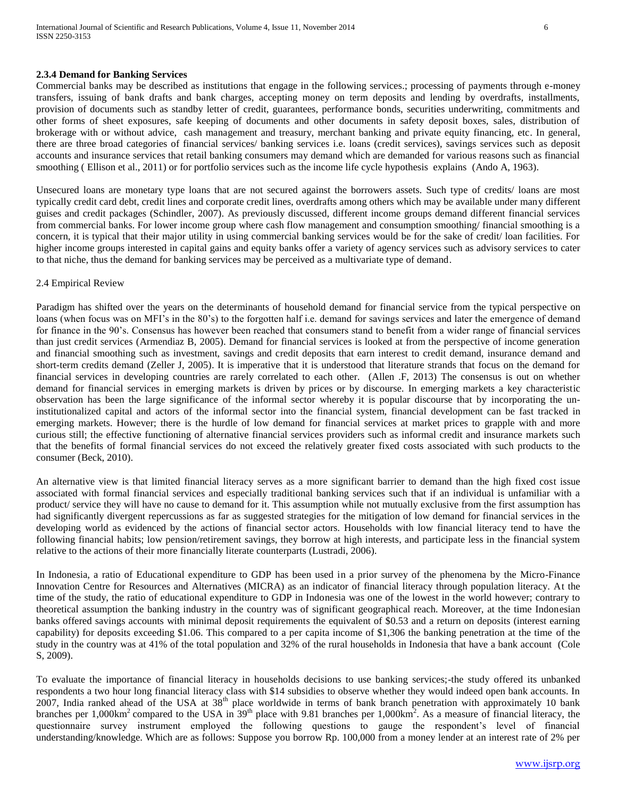#### **2.3.4 Demand for Banking Services**

Commercial banks may be described as institutions that engage in the following services.; processing of payments through e-money transfers, issuing of bank drafts and bank charges, accepting money on term deposits and lending by overdrafts, installments, provision of documents such as standby letter of credit, guarantees, performance bonds, securities underwriting, commitments and other forms of sheet exposures, safe keeping of documents and other documents in safety deposit boxes, sales, distribution of brokerage with or without advice, cash management and treasury, merchant banking and private equity financing, etc. In general, there are three broad categories of financial services/ banking services i.e. loans (credit services), savings services such as deposit accounts and insurance services that retail banking consumers may demand which are demanded for various reasons such as financial smoothing (Ellison et al., 2011) or for portfolio services such as the income life cycle hypothesis explains (Ando A, 1963).

Unsecured loans are monetary type loans that are not secured against the borrowers assets. Such type of credits/ loans are most typically credit card debt, credit lines and corporate credit lines, overdrafts among others which may be available under many different guises and credit packages (Schindler, 2007). As previously discussed, different income groups demand different financial services from commercial banks. For lower income group where cash flow management and consumption smoothing/ financial smoothing is a concern, it is typical that their major utility in using commercial banking services would be for the sake of credit/ loan facilities. For higher income groups interested in capital gains and equity banks offer a variety of agency services such as advisory services to cater to that niche, thus the demand for banking services may be perceived as a multivariate type of demand.

#### 2.4 Empirical Review

Paradigm has shifted over the years on the determinants of household demand for financial service from the typical perspective on loans (when focus was on MFI's in the 80's) to the forgotten half i.e. demand for savings services and later the emergence of demand for finance in the 90's. Consensus has however been reached that consumers stand to benefit from a wider range of financial services than just credit services (Armendiaz B, 2005). Demand for financial services is looked at from the perspective of income generation and financial smoothing such as investment, savings and credit deposits that earn interest to credit demand, insurance demand and short-term credits demand (Zeller J, 2005). It is imperative that it is understood that literature strands that focus on the demand for financial services in developing countries are rarely correlated to each other. (Allen .F, 2013) The consensus is out on whether demand for financial services in emerging markets is driven by prices or by discourse. In emerging markets a key characteristic observation has been the large significance of the informal sector whereby it is popular discourse that by incorporating the uninstitutionalized capital and actors of the informal sector into the financial system, financial development can be fast tracked in emerging markets. However; there is the hurdle of low demand for financial services at market prices to grapple with and more curious still; the effective functioning of alternative financial services providers such as informal credit and insurance markets such that the benefits of formal financial services do not exceed the relatively greater fixed costs associated with such products to the consumer (Beck, 2010).

An alternative view is that limited financial literacy serves as a more significant barrier to demand than the high fixed cost issue associated with formal financial services and especially traditional banking services such that if an individual is unfamiliar with a product/ service they will have no cause to demand for it. This assumption while not mutually exclusive from the first assumption has had significantly divergent repercussions as far as suggested strategies for the mitigation of low demand for financial services in the developing world as evidenced by the actions of financial sector actors. Households with low financial literacy tend to have the following financial habits; low pension/retirement savings, they borrow at high interests, and participate less in the financial system relative to the actions of their more financially literate counterparts (Lustradi, 2006).

In Indonesia, a ratio of Educational expenditure to GDP has been used in a prior survey of the phenomena by the Micro-Finance Innovation Centre for Resources and Alternatives (MICRA) as an indicator of financial literacy through population literacy. At the time of the study, the ratio of educational expenditure to GDP in Indonesia was one of the lowest in the world however; contrary to theoretical assumption the banking industry in the country was of significant geographical reach. Moreover, at the time Indonesian banks offered savings accounts with minimal deposit requirements the equivalent of \$0.53 and a return on deposits (interest earning capability) for deposits exceeding \$1.06. This compared to a per capita income of \$1,306 the banking penetration at the time of the study in the country was at 41% of the total population and 32% of the rural households in Indonesia that have a bank account (Cole S, 2009).

To evaluate the importance of financial literacy in households decisions to use banking services;-the study offered its unbanked respondents a two hour long financial literacy class with \$14 subsidies to observe whether they would indeed open bank accounts. In 2007, India ranked ahead of the USA at 38<sup>th</sup> place worldwide in terms of bank branch penetration with approximately 10 bank branches per 1,000km<sup>2</sup> compared to the USA in 39<sup>th</sup> place with 9.81 branches per 1,000km<sup>2</sup>. As a measure of financial literacy, the questionnaire survey instrument employed the following questions to gauge the respondent's level of financial understanding/knowledge. Which are as follows: Suppose you borrow Rp. 100,000 from a money lender at an interest rate of 2% per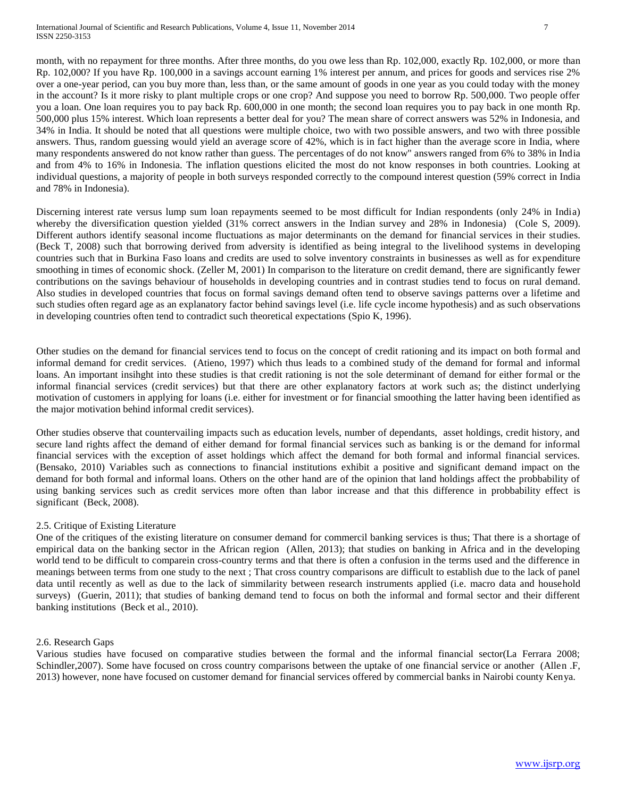month, with no repayment for three months. After three months, do you owe less than Rp. 102,000, exactly Rp. 102,000, or more than Rp. 102,000? If you have Rp. 100,000 in a savings account earning 1% interest per annum, and prices for goods and services rise 2% over a one-year period, can you buy more than, less than, or the same amount of goods in one year as you could today with the money in the account? Is it more risky to plant multiple crops or one crop? And suppose you need to borrow Rp. 500,000. Two people offer you a loan. One loan requires you to pay back Rp. 600,000 in one month; the second loan requires you to pay back in one month Rp. 500,000 plus 15% interest. Which loan represents a better deal for you? The mean share of correct answers was 52% in Indonesia, and 34% in India. It should be noted that all questions were multiple choice, two with two possible answers, and two with three possible answers. Thus, random guessing would yield an average score of 42%, which is in fact higher than the average score in India, where many respondents answered do not know rather than guess. The percentages of do not know" answers ranged from 6% to 38% in India and from 4% to 16% in Indonesia. The inflation questions elicited the most do not know responses in both countries. Looking at individual questions, a majority of people in both surveys responded correctly to the compound interest question (59% correct in India and 78% in Indonesia).

Discerning interest rate versus lump sum loan repayments seemed to be most difficult for Indian respondents (only 24% in India) whereby the diversification question yielded (31% correct answers in the Indian survey and 28% in Indonesia) (Cole S, 2009). Different authors identify seasonal income fluctuations as major determinants on the demand for financial services in their studies. (Beck T, 2008) such that borrowing derived from adversity is identified as being integral to the livelihood systems in developing countries such that in Burkina Faso loans and credits are used to solve inventory constraints in businesses as well as for expenditure smoothing in times of economic shock. (Zeller M, 2001) In comparison to the literature on credit demand, there are significantly fewer contributions on the savings behaviour of households in developing countries and in contrast studies tend to focus on rural demand. Also studies in developed countries that focus on formal savings demand often tend to observe savings patterns over a lifetime and such studies often regard age as an explanatory factor behind savings level (i.e. life cycle income hypothesis) and as such observations in developing countries often tend to contradict such theoretical expectations (Spio K, 1996).

Other studies on the demand for financial services tend to focus on the concept of credit rationing and its impact on both formal and informal demand for credit services. (Atieno, 1997) which thus leads to a combined study of the demand for formal and informal loans. An important insihght into these studies is that credit rationing is not the sole determinant of demand for either formal or the informal financial services (credit services) but that there are other explanatory factors at work such as; the distinct underlying motivation of customers in applying for loans (i.e. either for investment or for financial smoothing the latter having been identified as the major motivation behind informal credit services).

Other studies observe that countervailing impacts such as education levels, number of dependants, asset holdings, credit history, and secure land rights affect the demand of either demand for formal financial services such as banking is or the demand for informal financial services with the exception of asset holdings which affect the demand for both formal and informal financial services. (Bensako, 2010) Variables such as connections to financial institutions exhibit a positive and significant demand impact on the demand for both formal and informal loans. Others on the other hand are of the opinion that land holdings affect the probbability of using banking services such as credit services more often than labor increase and that this difference in probbability effect is significant (Beck, 2008).

## 2.5. Critique of Existing Literature

One of the critiques of the existing literature on consumer demand for commercil banking services is thus; That there is a shortage of empirical data on the banking sector in the African region (Allen, 2013); that studies on banking in Africa and in the developing world tend to be difficult to comparein cross-country terms and that there is often a confusion in the terms used and the difference in meanings between terms from one study to the next ; That cross country comparisons are difficult to establish due to the lack of panel data until recently as well as due to the lack of simmilarity between research instruments applied (i.e. macro data and household surveys) (Guerin, 2011); that studies of banking demand tend to focus on both the informal and formal sector and their different banking institutions (Beck et al., 2010).

## 2.6. Research Gaps

Various studies have focused on comparative studies between the formal and the informal financial sector(La Ferrara 2008; Schindler,2007). Some have focused on cross country comparisons between the uptake of one financial service or another (Allen .F, 2013) however, none have focused on customer demand for financial services offered by commercial banks in Nairobi county Kenya.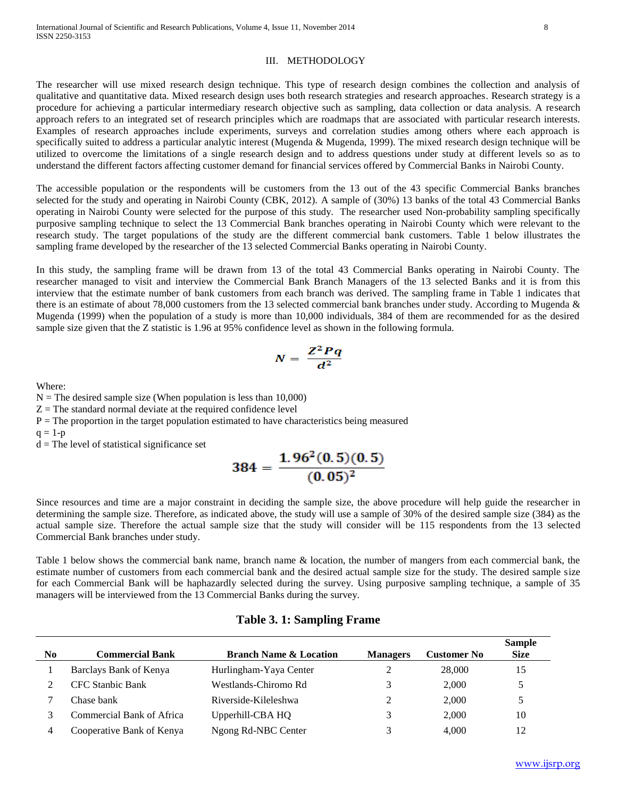#### III. METHODOLOGY

The researcher will use mixed research design technique. This type of research design combines the collection and analysis of qualitative and quantitative data. Mixed research design uses both research strategies and research approaches. Research strategy is a procedure for achieving a particular intermediary research objective such as sampling, data collection or data analysis. A research approach refers to an integrated set of research principles which are roadmaps that are associated with particular research interests. Examples of research approaches include experiments, surveys and correlation studies among others where each approach is specifically suited to address a particular analytic interest (Mugenda & Mugenda, 1999). The mixed research design technique will be utilized to overcome the limitations of a single research design and to address questions under study at different levels so as to understand the different factors affecting customer demand for financial services offered by Commercial Banks in Nairobi County.

The accessible population or the respondents will be customers from the 13 out of the 43 specific Commercial Banks branches selected for the study and operating in Nairobi County (CBK, 2012). A sample of (30%) 13 banks of the total 43 Commercial Banks operating in Nairobi County were selected for the purpose of this study. The researcher used Non-probability sampling specifically purposive sampling technique to select the 13 Commercial Bank branches operating in Nairobi County which were relevant to the research study. The target populations of the study are the different commercial bank customers. Table 1 below illustrates the sampling frame developed by the researcher of the 13 selected Commercial Banks operating in Nairobi County.

In this study, the sampling frame will be drawn from 13 of the total 43 Commercial Banks operating in Nairobi County. The researcher managed to visit and interview the Commercial Bank Branch Managers of the 13 selected Banks and it is from this interview that the estimate number of bank customers from each branch was derived. The sampling frame in Table 1 indicates that there is an estimate of about 78,000 customers from the 13 selected commercial bank branches under study. According to Mugenda & Mugenda (1999) when the population of a study is more than 10,000 individuals, 384 of them are recommended for as the desired sample size given that the Z statistic is 1.96 at 95% confidence level as shown in the following formula.

$$
N=\frac{Z^2Pq}{d^2}
$$

Where:

 $N =$ The desired sample size (When population is less than 10,000)

 $Z =$ The standard normal deviate at the required confidence level

 $P =$ The proportion in the target population estimated to have characteristics being measured

 $q = 1-p$ 

 $d =$ The level of statistical significance set

$$
384 = \frac{1.96^2(0.5)(0.5)}{(0.05)^2}
$$

Since resources and time are a major constraint in deciding the sample size, the above procedure will help guide the researcher in determining the sample size. Therefore, as indicated above, the study will use a sample of 30% of the desired sample size (384) as the actual sample size. Therefore the actual sample size that the study will consider will be 115 respondents from the 13 selected Commercial Bank branches under study.

Table 1 below shows the commercial bank name, branch name & location, the number of mangers from each commercial bank, the estimate number of customers from each commercial bank and the desired actual sample size for the study. The desired sample size for each Commercial Bank will be haphazardly selected during the survey. Using purposive sampling technique, a sample of 35 managers will be interviewed from the 13 Commercial Banks during the survey.

| N <sub>0</sub> | <b>Commercial Bank</b>    | <b>Branch Name &amp; Location</b> | <b>Managers</b> | <b>Customer No</b> | <b>Sample</b><br><b>Size</b> |
|----------------|---------------------------|-----------------------------------|-----------------|--------------------|------------------------------|
|                | Barclays Bank of Kenya    | Hurlingham-Yaya Center            |                 | 28,000             | 15                           |
|                | <b>CFC</b> Stanbic Bank   | Westlands-Chiromo Rd              |                 | 2.000              | $\ddot{\phantom{1}}$         |
|                | Chase bank                | Riverside-Kileleshwa              |                 | 2.000              | 5                            |
|                | Commercial Bank of Africa | Upperhill-CBA HQ                  |                 | 2.000              | 10                           |
| 4              | Cooperative Bank of Kenya | Ngong Rd-NBC Center               |                 | 4.000              | 12                           |

## **Table 3. 1: Sampling Frame**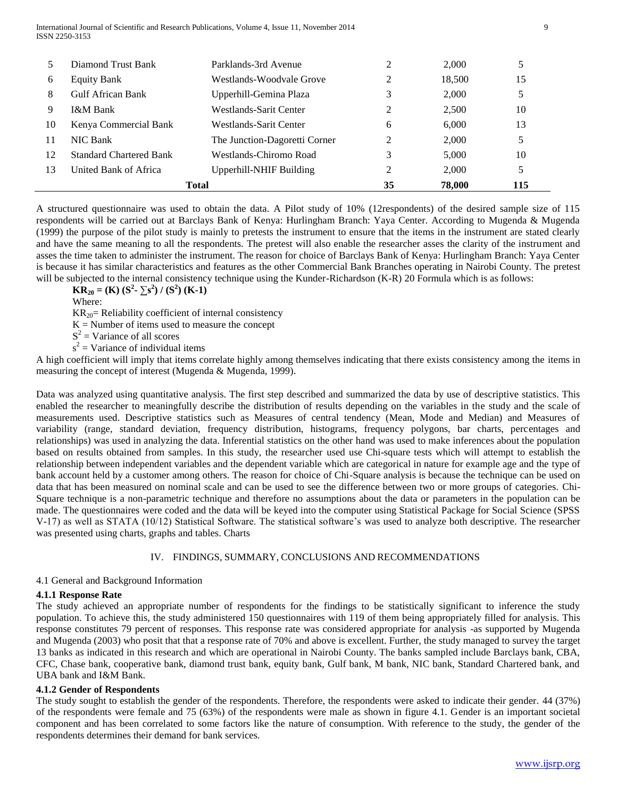International Journal of Scientific and Research Publications, Volume 4, Issue 11, November 2014 9 ISSN 2250-3153

|    | Diamond Trust Bank             | Parklands-3rd Avenue           |    | 2.000  | 5   |
|----|--------------------------------|--------------------------------|----|--------|-----|
| 6  | <b>Equity Bank</b>             | Westlands-Woodvale Grove       |    | 18.500 | 15  |
| 8  | Gulf African Bank              | Upperhill-Gemina Plaza         |    | 2,000  | 5   |
| 9  | I&M Bank                       | Westlands-Sarit Center         | ∍  | 2.500  | 10  |
| 10 | Kenya Commercial Bank          | Westlands-Sarit Center         | 6  | 6.000  | 13  |
| 11 | NIC Bank                       | The Junction-Dagoretti Corner  | ∍  | 2,000  | 5   |
| 12 | <b>Standard Chartered Bank</b> | Westlands-Chiromo Road         |    | 5.000  | 10  |
| 13 | United Bank of Africa          | <b>Upperhill-NHIF Building</b> |    | 2.000  | 5   |
|    |                                | <b>Total</b>                   | 35 | 78,000 | 115 |

A structured questionnaire was used to obtain the data. A Pilot study of 10% (12respondents) of the desired sample size of 115 respondents will be carried out at Barclays Bank of Kenya: Hurlingham Branch: Yaya Center. According to Mugenda & Mugenda (1999) the purpose of the pilot study is mainly to pretests the instrument to ensure that the items in the instrument are stated clearly and have the same meaning to all the respondents. The pretest will also enable the researcher asses the clarity of the instrument and asses the time taken to administer the instrument. The reason for choice of Barclays Bank of Kenya: Hurlingham Branch: Yaya Center is because it has similar characteristics and features as the other Commercial Bank Branches operating in Nairobi County. The pretest will be subjected to the internal consistency technique using the Kunder-Richardson (K-R) 20 Formula which is as follows:

**KR**<sub>20</sub> = **(K)**  $(S^2 - \sum s^2) / (S^2)$  **(K-1)** 

Where:

 $KR_{20}$ = Reliability coefficient of internal consistency

 $K =$  Number of items used to measure the concept

 $S^2$  = Variance of all scores

 $s^2$  = Variance of individual items

A high coefficient will imply that items correlate highly among themselves indicating that there exists consistency among the items in measuring the concept of interest (Mugenda & Mugenda, 1999).

Data was analyzed using quantitative analysis. The first step described and summarized the data by use of descriptive statistics. This enabled the researcher to meaningfully describe the distribution of results depending on the variables in the study and the scale of measurements used. Descriptive statistics such as Measures of central tendency (Mean, Mode and Median) and Measures of variability (range, standard deviation, frequency distribution, histograms, frequency polygons, bar charts, percentages and relationships) was used in analyzing the data. Inferential statistics on the other hand was used to make inferences about the population based on results obtained from samples. In this study, the researcher used use Chi-square tests which will attempt to establish the relationship between independent variables and the dependent variable which are categorical in nature for example age and the type of bank account held by a customer among others. The reason for choice of Chi-Square analysis is because the technique can be used on data that has been measured on nominal scale and can be used to see the difference between two or more groups of categories. Chi-Square technique is a non-parametric technique and therefore no assumptions about the data or parameters in the population can be made. The questionnaires were coded and the data will be keyed into the computer using Statistical Package for Social Science (SPSS V-17) as well as STATA (10/12) Statistical Software. The statistical software's was used to analyze both descriptive. The researcher was presented using charts, graphs and tables. Charts

## IV. FINDINGS, SUMMARY, CONCLUSIONS AND RECOMMENDATIONS

## 4.1 General and Background Information

## **4.1.1 Response Rate**

The study achieved an appropriate number of respondents for the findings to be statistically significant to inference the study population. To achieve this, the study administered 150 questionnaires with 119 of them being appropriately filled for analysis. This response constitutes 79 percent of responses. This response rate was considered appropriate for analysis -as supported by Mugenda and Mugenda (2003) who posit that that a response rate of 70% and above is excellent. Further, the study managed to survey the target 13 banks as indicated in this research and which are operational in Nairobi County. The banks sampled include Barclays bank, CBA, CFC, Chase bank, cooperative bank, diamond trust bank, equity bank, Gulf bank, M bank, NIC bank, Standard Chartered bank, and UBA bank and I&M Bank.

## **4.1.2 Gender of Respondents**

The study sought to establish the gender of the respondents. Therefore, the respondents were asked to indicate their gender. 44 (37%) of the respondents were female and 75 (63%) of the respondents were male as shown in figure 4.1. Gender is an important societal component and has been correlated to some factors like the nature of consumption. With reference to the study, the gender of the respondents determines their demand for bank services.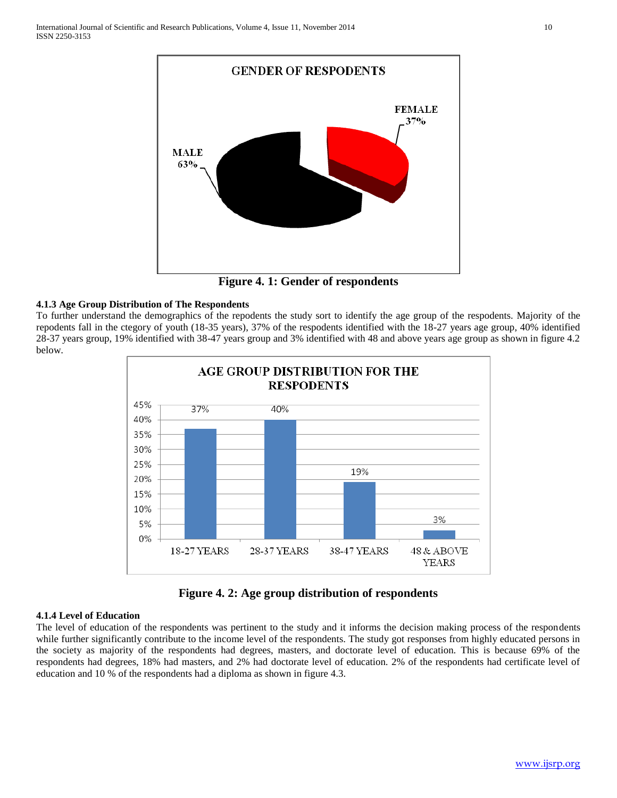

**Figure 4. 1: Gender of respondents**

# **4.1.3 Age Group Distribution of The Respondents**

To further understand the demographics of the repodents the study sort to identify the age group of the respodents. Majority of the repodents fall in the ctegory of youth (18-35 years), 37% of the respodents identified with the 18-27 years age group, 40% identified 28-37 years group, 19% identified with 38-47 years group and 3% identified with 48 and above years age group as shown in figure 4.2 below.



**Figure 4. 2: Age group distribution of respondents**

# **4.1.4 Level of Education**

The level of education of the respondents was pertinent to the study and it informs the decision making process of the respondents while further significantly contribute to the income level of the respondents. The study got responses from highly educated persons in the society as majority of the respondents had degrees, masters, and doctorate level of education. This is because 69% of the respondents had degrees, 18% had masters, and 2% had doctorate level of education. 2% of the respondents had certificate level of education and 10 % of the respondents had a diploma as shown in figure 4.3.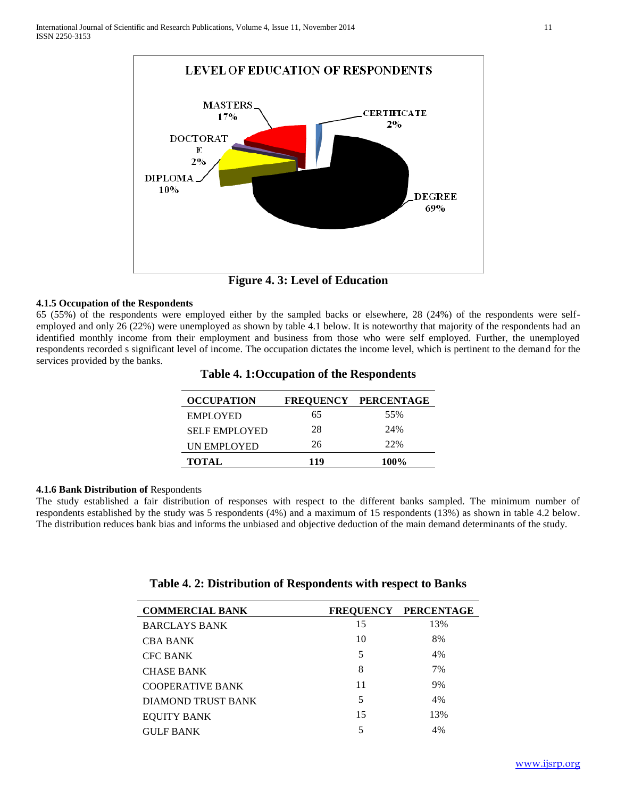

**Figure 4. 3: Level of Education**

## **4.1.5 Occupation of the Respondents**

65 (55%) of the respondents were employed either by the sampled backs or elsewhere, 28 (24%) of the respondents were selfemployed and only 26 (22%) were unemployed as shown by table 4.1 below. It is noteworthy that majority of the respondents had an identified monthly income from their employment and business from those who were self employed. Further, the unemployed respondents recorded s significant level of income. The occupation dictates the income level, which is pertinent to the demand for the services provided by the banks.

| <b>OCCUPATION</b>    |     | FREQUENCY PERCENTAGE |
|----------------------|-----|----------------------|
| <b>EMPLOYED</b>      | 65  | 55%                  |
| <b>SELF EMPLOYED</b> | 28  | 24%                  |
| UN EMPLOYED          | 26  | 22%                  |
| <b>TOTAL</b>         | 119 | 100%                 |

## **Table 4. 1:Occupation of the Respondents**

#### **4.1.6 Bank Distribution of** Respondents

The study established a fair distribution of responses with respect to the different banks sampled. The minimum number of respondents established by the study was 5 respondents (4%) and a maximum of 15 respondents (13%) as shown in table 4.2 below. The distribution reduces bank bias and informs the unbiased and objective deduction of the main demand determinants of the study.

| <b>COMMERCIAL BANK</b>  |    | FREQUENCY PERCENTAGE |
|-------------------------|----|----------------------|
| <b>BARCLAYS BANK</b>    | 15 | 13%                  |
| <b>CBA BANK</b>         | 10 | 8%                   |
| <b>CFC BANK</b>         | 5  | 4%                   |
| <b>CHASE BANK</b>       | 8  | 7%                   |
| <b>COOPERATIVE BANK</b> | 11 | 9%                   |
| DIAMOND TRUST BANK      | 5  | 4%                   |
| <b>EOUITY BANK</b>      | 15 | 13%                  |
| <b>GULF BANK</b>        | 5  | 4%                   |

## **Table 4. 2: Distribution of Respondents with respect to Banks**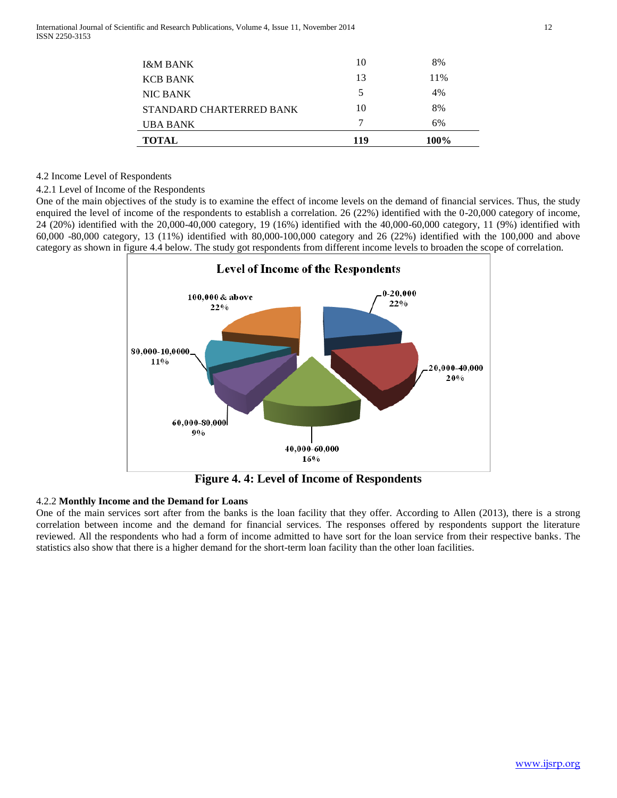| <b>TOTAL</b>             | 119 | 100% |
|--------------------------|-----|------|
| UBA BANK                 | 7   | 6%   |
| STANDARD CHARTERRED BANK | 10  | 8%   |
| <b>NIC BANK</b>          | 5   | 4%   |
| <b>KCB BANK</b>          | 13  | 11%  |
| <b>I&amp;M BANK</b>      | 10  | 8%   |

#### 4.2 Income Level of Respondents

#### 4.2.1 Level of Income of the Respondents

One of the main objectives of the study is to examine the effect of income levels on the demand of financial services. Thus, the study enquired the level of income of the respondents to establish a correlation. 26 (22%) identified with the 0-20,000 category of income, 24 (20%) identified with the 20,000-40,000 category, 19 (16%) identified with the 40,000-60,000 category, 11 (9%) identified with 60,000 -80,000 category, 13 (11%) identified with 80,000-100,000 category and 26 (22%) identified with the 100,000 and above category as shown in figure 4.4 below. The study got respondents from different income levels to broaden the scope of correlation.



**Figure 4. 4: Level of Income of Respondents**

## 4.2.2 **Monthly Income and the Demand for Loans**

One of the main services sort after from the banks is the loan facility that they offer. According to Allen (2013), there is a strong correlation between income and the demand for financial services. The responses offered by respondents support the literature reviewed. All the respondents who had a form of income admitted to have sort for the loan service from their respective banks. The statistics also show that there is a higher demand for the short-term loan facility than the other loan facilities.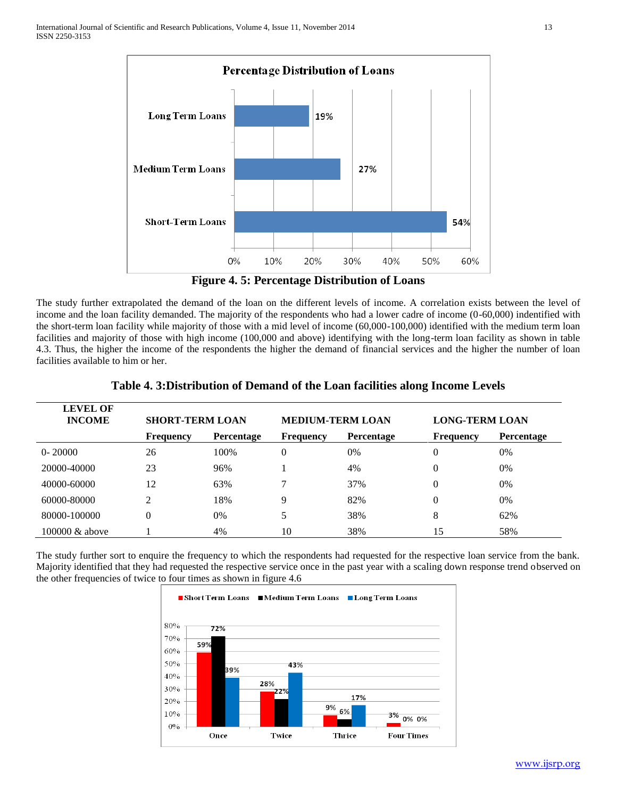

**Figure 4. 5: Percentage Distribution of Loans**

The study further extrapolated the demand of the loan on the different levels of income. A correlation exists between the level of income and the loan facility demanded. The majority of the respondents who had a lower cadre of income (0-60,000) indentified with the short-term loan facility while majority of those with a mid level of income (60,000-100,000) identified with the medium term loan facilities and majority of those with high income (100,000 and above) identifying with the long-term loan facility as shown in table 4.3. Thus, the higher the income of the respondents the higher the demand of financial services and the higher the number of loan facilities available to him or her.

| <b>LEVEL OF</b><br><b>INCOME</b> | <b>SHORT-TERM LOAN</b> |                   | <b>MEDIUM-TERM LOAN</b> |                   | <b>LONG-TERM LOAN</b> |            |
|----------------------------------|------------------------|-------------------|-------------------------|-------------------|-----------------------|------------|
|                                  | <b>Frequency</b>       | <b>Percentage</b> | <b>Frequency</b>        | <b>Percentage</b> | <b>Frequency</b>      | Percentage |
| $0 - 20000$                      | 26                     | 100%              | 0                       | 0%                | 0                     | $0\%$      |
| 20000-40000                      | 23                     | 96%               |                         | 4%                | 0                     | $0\%$      |
| 40000-60000                      | 12                     | 63%               |                         | 37%               | 0                     | $0\%$      |
| 60000-80000                      | $\overline{2}$         | 18%               | Q                       | 82%               | $\overline{0}$        | $0\%$      |
| 80000-100000                     | 0                      | 0%                |                         | 38%               | 8                     | 62%        |
| $100000 \&$ above                |                        | 4%                | 10                      | 38%               | 15                    | 58%        |

**Table 4. 3:Distribution of Demand of the Loan facilities along Income Levels**

The study further sort to enquire the frequency to which the respondents had requested for the respective loan service from the bank. Majority identified that they had requested the respective service once in the past year with a scaling down response trend observed on the other frequencies of twice to four times as shown in figure 4.6

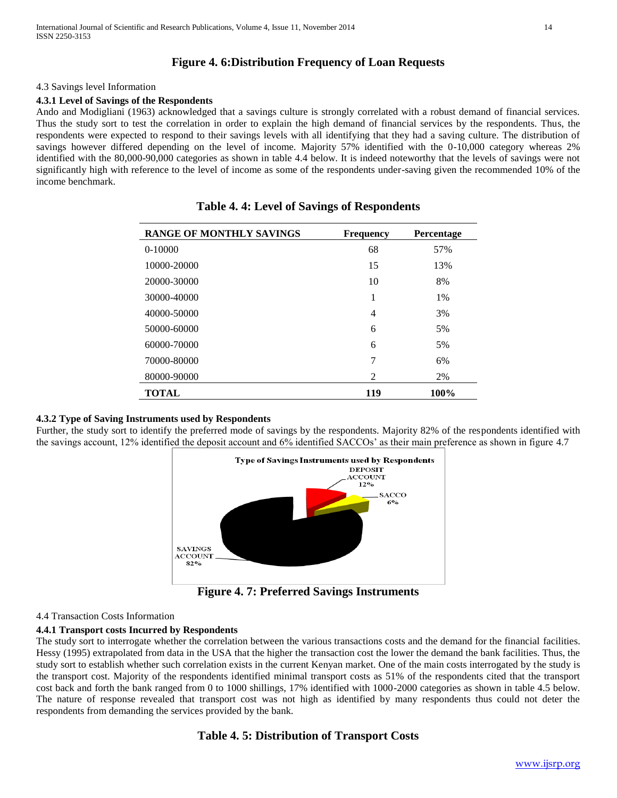# **Figure 4. 6:Distribution Frequency of Loan Requests**

#### 4.3 Savings level Information

#### **4.3.1 Level of Savings of the Respondents**

Ando and Modigliani (1963) acknowledged that a savings culture is strongly correlated with a robust demand of financial services. Thus the study sort to test the correlation in order to explain the high demand of financial services by the respondents. Thus, the respondents were expected to respond to their savings levels with all identifying that they had a saving culture. The distribution of savings however differed depending on the level of income. Majority 57% identified with the 0-10,000 category whereas 2% identified with the 80,000-90,000 categories as shown in table 4.4 below. It is indeed noteworthy that the levels of savings were not significantly high with reference to the level of income as some of the respondents under-saving given the recommended 10% of the income benchmark.

| <b>RANGE OF MONTHLY SAVINGS</b> | <b>Frequency</b> | Percentage |
|---------------------------------|------------------|------------|
| 0-10000                         | 68               | 57%        |
| 10000-20000                     | 15               | 13%        |
| 20000-30000                     | 10               | 8%         |
| 30000-40000                     | 1                | $1\%$      |
| 40000-50000                     | 4                | 3%         |
| 50000-60000                     | 6                | 5%         |
| 60000-70000                     | 6                | 5%         |
| 70000-80000                     | 7                | 6%         |
| 80000-90000                     | 2                | 2%         |
| <b>TOTAL</b>                    | 119              | 100%       |

|  |  |  |  |  | <b>Table 4.4: Level of Savings of Respondents</b> |  |  |  |  |
|--|--|--|--|--|---------------------------------------------------|--|--|--|--|
|--|--|--|--|--|---------------------------------------------------|--|--|--|--|

## **4.3.2 Type of Saving Instruments used by Respondents**

Further, the study sort to identify the preferred mode of savings by the respondents. Majority 82% of the respondents identified with the savings account, 12% identified the deposit account and 6% identified SACCOs' as their main preference as shown in figure 4.7



**Figure 4. 7: Preferred Savings Instruments**

## 4.4 Transaction Costs Information

## **4.4.1 Transport costs Incurred by Respondents**

The study sort to interrogate whether the correlation between the various transactions costs and the demand for the financial facilities. Hessy (1995) extrapolated from data in the USA that the higher the transaction cost the lower the demand the bank facilities. Thus, the study sort to establish whether such correlation exists in the current Kenyan market. One of the main costs interrogated by the study is the transport cost. Majority of the respondents identified minimal transport costs as 51% of the respondents cited that the transport cost back and forth the bank ranged from 0 to 1000 shillings, 17% identified with 1000-2000 categories as shown in table 4.5 below. The nature of response revealed that transport cost was not high as identified by many respondents thus could not deter the respondents from demanding the services provided by the bank.

# **Table 4. 5: Distribution of Transport Costs**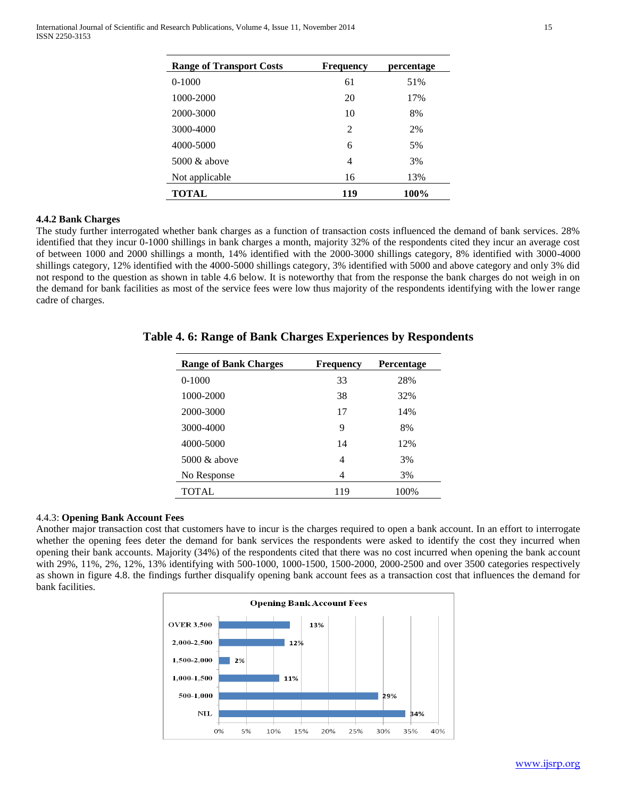| <b>Range of Transport Costs</b> | <b>Frequency</b> | percentage |
|---------------------------------|------------------|------------|
| $0-1000$                        | 61               | 51%        |
| 1000-2000                       | 20               | 17%        |
| 2000-3000                       | 10               | 8%         |
| 3000-4000                       | 2                | 2%         |
| 4000-5000                       | 6                | 5%         |
| $5000 \&$ above                 | 4                | 3%         |
| Not applicable                  | 16               | 13%        |
| TOTAL                           | 119              | 100%       |

#### **4.4.2 Bank Charges**

The study further interrogated whether bank charges as a function of transaction costs influenced the demand of bank services. 28% identified that they incur 0-1000 shillings in bank charges a month, majority 32% of the respondents cited they incur an average cost of between 1000 and 2000 shillings a month, 14% identified with the 2000-3000 shillings category, 8% identified with 3000-4000 shillings category, 12% identified with the 4000-5000 shillings category, 3% identified with 5000 and above category and only 3% did not respond to the question as shown in table 4.6 below. It is noteworthy that from the response the bank charges do not weigh in on the demand for bank facilities as most of the service fees were low thus majority of the respondents identifying with the lower range cadre of charges.

| <b>Range of Bank Charges</b> | <b>Frequency</b> | <b>Percentage</b> |
|------------------------------|------------------|-------------------|
| $0-1000$                     | 33               | 28%               |
| 1000-2000                    | 38               | 32%               |
| 2000-3000                    | 17               | 14%               |
| 3000-4000                    | 9                | 8%                |
| 4000-5000                    | 14               | 12%               |
| 5000 $\&$ above              | 4                | 3%                |
| No Response                  | 4                | 3%                |
| TOTAL                        | 119              | 100%              |

## **Table 4. 6: Range of Bank Charges Experiences by Respondents**

#### 4.4.3: **Opening Bank Account Fees**

Another major transaction cost that customers have to incur is the charges required to open a bank account. In an effort to interrogate whether the opening fees deter the demand for bank services the respondents were asked to identify the cost they incurred when opening their bank accounts. Majority (34%) of the respondents cited that there was no cost incurred when opening the bank account with 29%, 11%, 2%, 12%, 13% identifying with 500-1000, 1000-1500, 1500-2000, 2000-2500 and over 3500 categories respectively as shown in figure 4.8. the findings further disqualify opening bank account fees as a transaction cost that influences the demand for bank facilities.

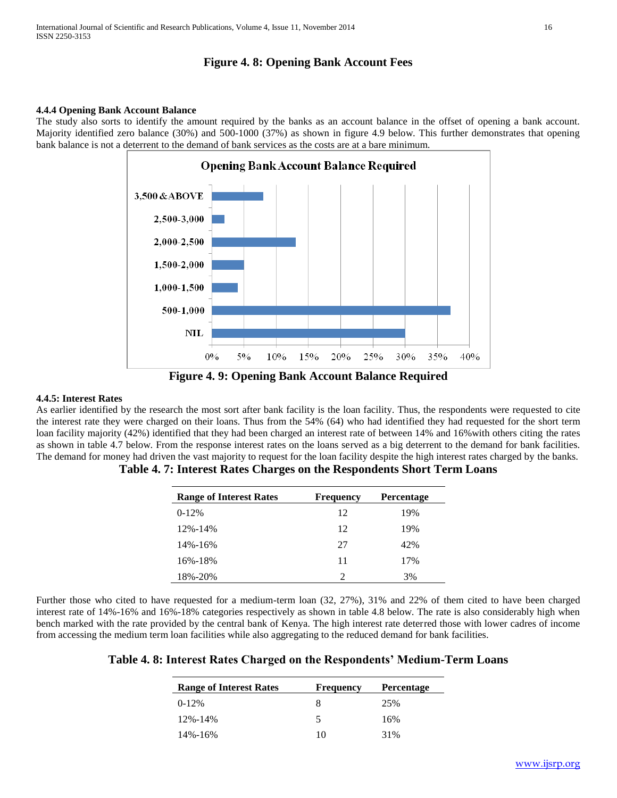# **Figure 4. 8: Opening Bank Account Fees**

#### **4.4.4 Opening Bank Account Balance**

The study also sorts to identify the amount required by the banks as an account balance in the offset of opening a bank account. Majority identified zero balance (30%) and 500-1000 (37%) as shown in figure 4.9 below. This further demonstrates that opening bank balance is not a deterrent to the demand of bank services as the costs are at a bare minimum.



**Figure 4. 9: Opening Bank Account Balance Required**

#### **4.4.5: Interest Rates**

As earlier identified by the research the most sort after bank facility is the loan facility. Thus, the respondents were requested to cite the interest rate they were charged on their loans. Thus from the 54% (64) who had identified they had requested for the short term loan facility majority (42%) identified that they had been charged an interest rate of between 14% and 16% with others citing the rates as shown in table 4.7 below. From the response interest rates on the loans served as a big deterrent to the demand for bank facilities. The demand for money had driven the vast majority to request for the loan facility despite the high interest rates charged by the banks.

| <b>Range of Interest Rates</b> | <b>Frequency</b> | Percentage |
|--------------------------------|------------------|------------|
| $0-12%$                        | 12               | 19%        |
| $12\% - 14\%$                  | 12               | 19%        |
| $14\% - 16\%$                  | 27               | 42%        |
| 16%-18%                        | 11               | 17%        |
| 18%-20%                        | $\mathfrak{D}$   | 3%         |

**Table 4. 7: Interest Rates Charges on the Respondents Short Term Loans** 

Further those who cited to have requested for a medium-term loan (32, 27%), 31% and 22% of them cited to have been charged interest rate of 14%-16% and 16%-18% categories respectively as shown in table 4.8 below. The rate is also considerably high when bench marked with the rate provided by the central bank of Kenya. The high interest rate deterred those with lower cadres of income from accessing the medium term loan facilities while also aggregating to the reduced demand for bank facilities.

**Table 4. 8: Interest Rates Charged on the Respondents' Medium-Term Loans** 

| <b>Range of Interest Rates</b> | <b>Frequency</b> | <b>Percentage</b> |
|--------------------------------|------------------|-------------------|
| $0-12%$                        | 8                | 25%               |
| 12%-14%                        | 5                | 16%               |
| 14%-16%                        | 10               | 31%               |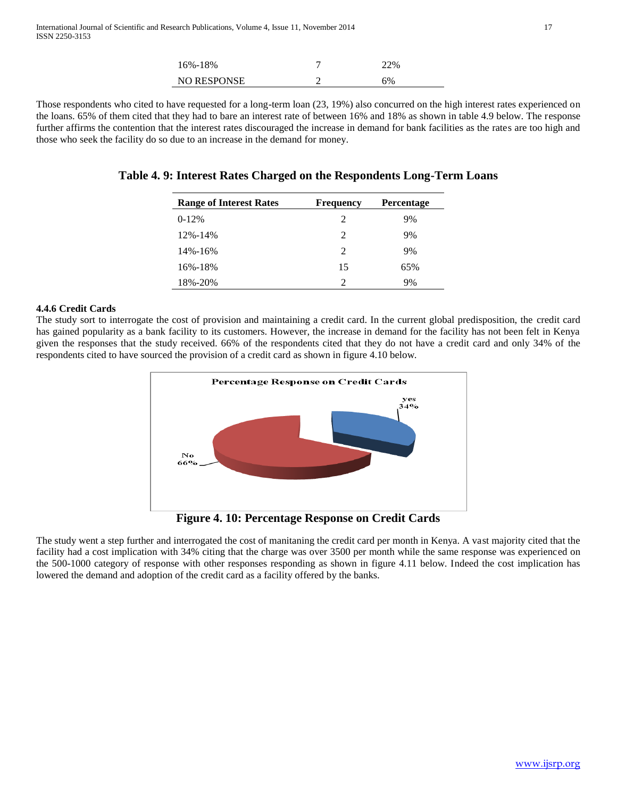| 16%-18%            | 22% |  |
|--------------------|-----|--|
| <b>NO RESPONSE</b> | 5%  |  |

Those respondents who cited to have requested for a long-term loan (23, 19%) also concurred on the high interest rates experienced on the loans. 65% of them cited that they had to bare an interest rate of between 16% and 18% as shown in table 4.9 below. The response further affirms the contention that the interest rates discouraged the increase in demand for bank facilities as the rates are too high and those who seek the facility do so due to an increase in the demand for money.

|  |  | Table 4.9: Interest Rates Charged on the Respondents Long-Term Loans |  |  |  |
|--|--|----------------------------------------------------------------------|--|--|--|
|  |  |                                                                      |  |  |  |

| <b>Range of Interest Rates</b> | <b>Frequency</b>            | <b>Percentage</b> |
|--------------------------------|-----------------------------|-------------------|
| $0-12%$                        | $\mathfrak{D}$              | 9%                |
| $12\% - 14\%$                  | $\mathfrak{D}$              | 9%                |
| 14%-16%                        | $\mathcal{D}_{\mathcal{A}}$ | 9%                |
| 16%-18%                        | 15                          | 65%               |
| 18%-20%                        | っ                           | 9%                |

## **4.4.6 Credit Cards**

The study sort to interrogate the cost of provision and maintaining a credit card. In the current global predisposition, the credit card has gained popularity as a bank facility to its customers. However, the increase in demand for the facility has not been felt in Kenya given the responses that the study received. 66% of the respondents cited that they do not have a credit card and only 34% of the respondents cited to have sourced the provision of a credit card as shown in figure 4.10 below.



**Figure 4. 10: Percentage Response on Credit Cards**

The study went a step further and interrogated the cost of manitaning the credit card per month in Kenya. A vast majority cited that the facility had a cost implication with 34% citing that the charge was over 3500 per month while the same response was experienced on the 500-1000 category of response with other responses responding as shown in figure 4.11 below. Indeed the cost implication has lowered the demand and adoption of the credit card as a facility offered by the banks.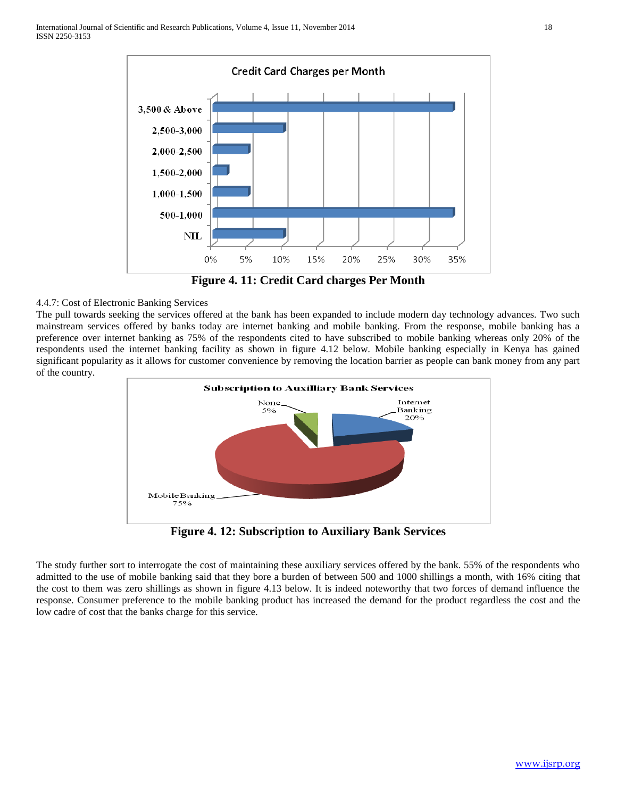

**Figure 4. 11: Credit Card charges Per Month**

# 4.4.7: Cost of Electronic Banking Services

The pull towards seeking the services offered at the bank has been expanded to include modern day technology advances. Two such mainstream services offered by banks today are internet banking and mobile banking. From the response, mobile banking has a preference over internet banking as 75% of the respondents cited to have subscribed to mobile banking whereas only 20% of the respondents used the internet banking facility as shown in figure 4.12 below. Mobile banking especially in Kenya has gained significant popularity as it allows for customer convenience by removing the location barrier as people can bank money from any part of the country.



**Figure 4. 12: Subscription to Auxiliary Bank Services**

The study further sort to interrogate the cost of maintaining these auxiliary services offered by the bank. 55% of the respondents who admitted to the use of mobile banking said that they bore a burden of between 500 and 1000 shillings a month, with 16% citing that the cost to them was zero shillings as shown in figure 4.13 below. It is indeed noteworthy that two forces of demand influence the response. Consumer preference to the mobile banking product has increased the demand for the product regardless the cost and the low cadre of cost that the banks charge for this service.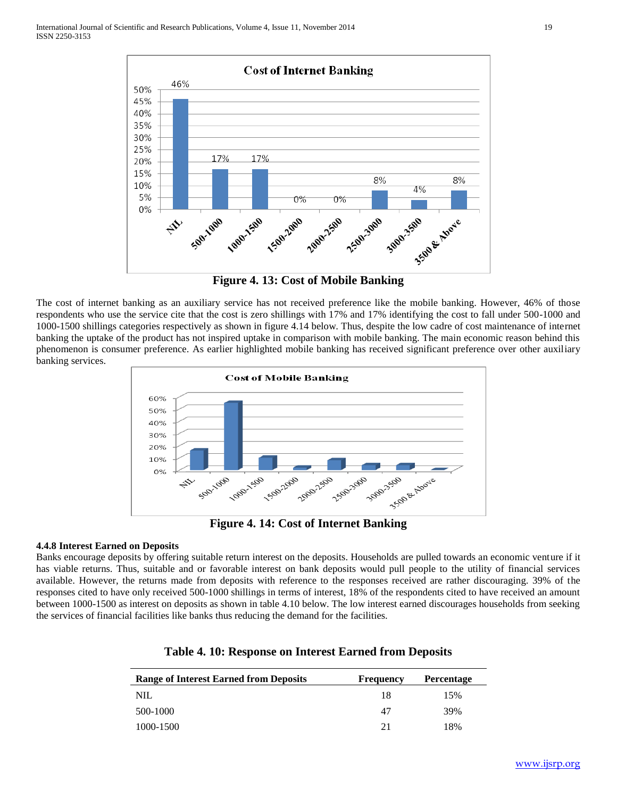

**Figure 4. 13: Cost of Mobile Banking**

The cost of internet banking as an auxiliary service has not received preference like the mobile banking. However, 46% of those respondents who use the service cite that the cost is zero shillings with 17% and 17% identifying the cost to fall under 500-1000 and 1000-1500 shillings categories respectively as shown in figure 4.14 below. Thus, despite the low cadre of cost maintenance of internet banking the uptake of the product has not inspired uptake in comparison with mobile banking. The main economic reason behind this phenomenon is consumer preference. As earlier highlighted mobile banking has received significant preference over other auxiliary banking services.



**Figure 4. 14: Cost of Internet Banking**

## **4.4.8 Interest Earned on Deposits**

Banks encourage deposits by offering suitable return interest on the deposits. Households are pulled towards an economic venture if it has viable returns. Thus, suitable and or favorable interest on bank deposits would pull people to the utility of financial services available. However, the returns made from deposits with reference to the responses received are rather discouraging. 39% of the responses cited to have only received 500-1000 shillings in terms of interest, 18% of the respondents cited to have received an amount between 1000-1500 as interest on deposits as shown in table 4.10 below. The low interest earned discourages households from seeking the services of financial facilities like banks thus reducing the demand for the facilities.

| <b>Range of Interest Earned from Deposits</b> | <b>Frequency</b> | <b>Percentage</b> |
|-----------------------------------------------|------------------|-------------------|
| NIL                                           | 18               | 15%               |
| 500-1000                                      | 47               | 39%               |
| 1000-1500                                     | 21               | 18%               |

# **Table 4. 10: Response on Interest Earned from Deposits**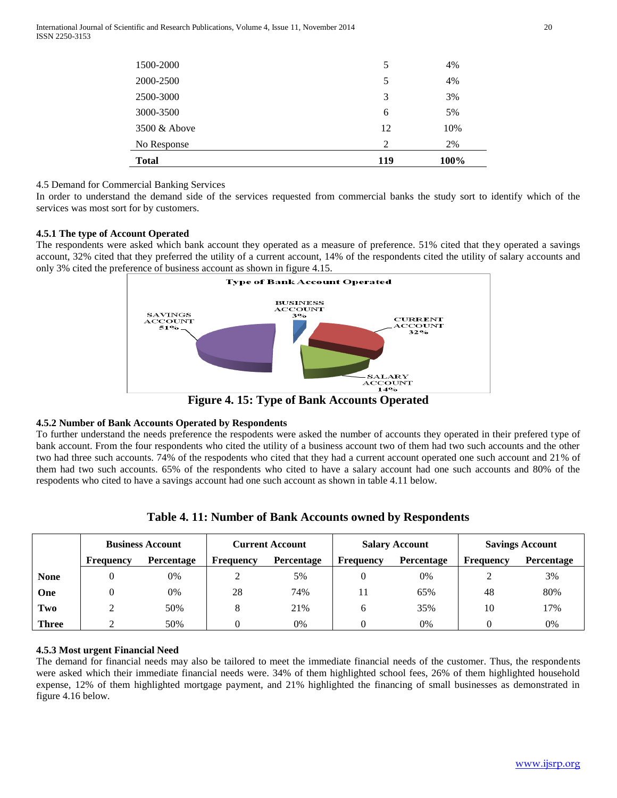| <b>Total</b>    | 119 | 100% |
|-----------------|-----|------|
| No Response     | 2   | 2%   |
| $3500 \&$ Above | 12  | 10%  |
| 3000-3500       | 6   | 5%   |
| 2500-3000       | 3   | 3%   |
| 2000-2500       | 5   | 4%   |
| 1500-2000       | 5   | 4%   |

# 4.5 Demand for Commercial Banking Services

In order to understand the demand side of the services requested from commercial banks the study sort to identify which of the services was most sort for by customers.

## **4.5.1 The type of Account Operated**

The respondents were asked which bank account they operated as a measure of preference. 51% cited that they operated a savings account, 32% cited that they preferred the utility of a current account, 14% of the respondents cited the utility of salary accounts and only 3% cited the preference of business account as shown in figure 4.15.



**Figure 4. 15: Type of Bank Accounts Operated**

# **4.5.2 Number of Bank Accounts Operated by Respondents**

To further understand the needs preference the respodents were asked the number of accounts they operated in their prefered type of bank account. From the four respondents who cited the utility of a business account two of them had two such accounts and the other two had three such accounts. 74% of the respodents who cited that they had a current account operated one such account and 21% of them had two such accounts. 65% of the respondents who cited to have a salary account had one such accounts and 80% of the respodents who cited to have a savings account had one such account as shown in table 4.11 below.

|              | <b>Business Account</b> |            | <b>Current Account</b> |            | <b>Salary Account</b> |            | <b>Savings Account</b> |            |
|--------------|-------------------------|------------|------------------------|------------|-----------------------|------------|------------------------|------------|
|              | Frequency               | Percentage | Frequency              | Percentage | <b>Frequency</b>      | Percentage | Frequency              | Percentage |
| <b>None</b>  |                         | 0%         |                        | 5%         |                       | 0%         |                        | 3%         |
| One          |                         | 0%         | 28                     | 74%        |                       | 65%        | 48                     | 80%        |
| Two          |                         | 50%        |                        | 21%        | h                     | 35%        | 10                     | 17%        |
| <b>Three</b> |                         | 50%        |                        | 0%         |                       | 0%         |                        | 0%         |

| Table 4. 11: Number of Bank Accounts owned by Respondents |  |  |
|-----------------------------------------------------------|--|--|
|-----------------------------------------------------------|--|--|

## **4.5.3 Most urgent Financial Need**

The demand for financial needs may also be tailored to meet the immediate financial needs of the customer. Thus, the respondents were asked which their immediate financial needs were. 34% of them highlighted school fees, 26% of them highlighted household expense, 12% of them highlighted mortgage payment, and 21% highlighted the financing of small businesses as demonstrated in figure 4.16 below.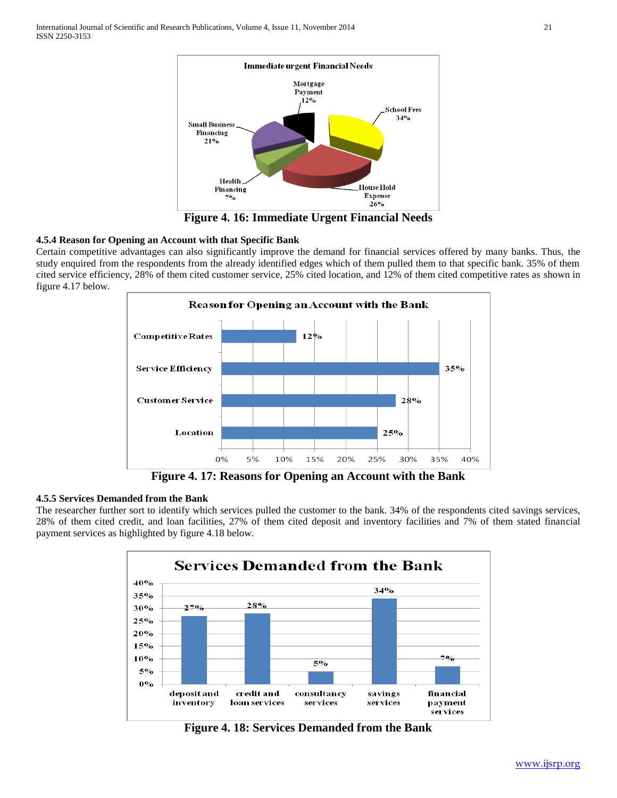

**Figure 4. 16: Immediate Urgent Financial Needs**

## **4.5.4 Reason for Opening an Account with that Specific Bank**

Certain competitive advantages can also significantly improve the demand for financial services offered by many banks. Thus, the study enquired from the respondents from the already identified edges which of them pulled them to that specific bank. 35% of them cited service efficiency, 28% of them cited customer service, 25% cited location, and 12% of them cited competitive rates as shown in figure 4.17 below.



**Figure 4. 17: Reasons for Opening an Account with the Bank**

# **4.5.5 Services Demanded from the Bank**

The researcher further sort to identify which services pulled the customer to the bank. 34% of the respondents cited savings services, 28% of them cited credit, and loan facilities, 27% of them cited deposit and inventory facilities and 7% of them stated financial payment services as highlighted by figure 4.18 below.



**Figure 4. 18: Services Demanded from the Bank**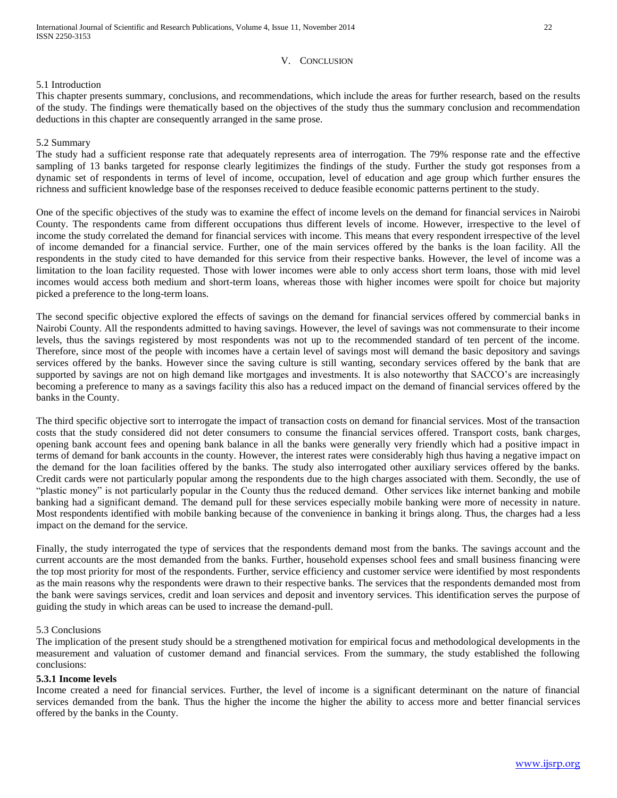#### V. CONCLUSION

## 5.1 Introduction

This chapter presents summary, conclusions, and recommendations, which include the areas for further research, based on the results of the study. The findings were thematically based on the objectives of the study thus the summary conclusion and recommendation deductions in this chapter are consequently arranged in the same prose.

## 5.2 Summary

The study had a sufficient response rate that adequately represents area of interrogation. The 79% response rate and the effective sampling of 13 banks targeted for response clearly legitimizes the findings of the study. Further the study got responses from a dynamic set of respondents in terms of level of income, occupation, level of education and age group which further ensures the richness and sufficient knowledge base of the responses received to deduce feasible economic patterns pertinent to the study.

One of the specific objectives of the study was to examine the effect of income levels on the demand for financial services in Nairobi County. The respondents came from different occupations thus different levels of income. However, irrespective to the level of income the study correlated the demand for financial services with income. This means that every respondent irrespective of the level of income demanded for a financial service. Further, one of the main services offered by the banks is the loan facility. All the respondents in the study cited to have demanded for this service from their respective banks. However, the level of income was a limitation to the loan facility requested. Those with lower incomes were able to only access short term loans, those with mid level incomes would access both medium and short-term loans, whereas those with higher incomes were spoilt for choice but majority picked a preference to the long-term loans.

The second specific objective explored the effects of savings on the demand for financial services offered by commercial banks in Nairobi County. All the respondents admitted to having savings. However, the level of savings was not commensurate to their income levels, thus the savings registered by most respondents was not up to the recommended standard of ten percent of the income. Therefore, since most of the people with incomes have a certain level of savings most will demand the basic depository and savings services offered by the banks. However since the saving culture is still wanting, secondary services offered by the bank that are supported by savings are not on high demand like mortgages and investments. It is also noteworthy that SACCO's are increasingly becoming a preference to many as a savings facility this also has a reduced impact on the demand of financial services offered by the banks in the County.

The third specific objective sort to interrogate the impact of transaction costs on demand for financial services. Most of the transaction costs that the study considered did not deter consumers to consume the financial services offered. Transport costs, bank charges, opening bank account fees and opening bank balance in all the banks were generally very friendly which had a positive impact in terms of demand for bank accounts in the county. However, the interest rates were considerably high thus having a negative impact on the demand for the loan facilities offered by the banks. The study also interrogated other auxiliary services offered by the banks. Credit cards were not particularly popular among the respondents due to the high charges associated with them. Secondly, the use of "plastic money" is not particularly popular in the County thus the reduced demand. Other services like internet banking and mobile banking had a significant demand. The demand pull for these services especially mobile banking were more of necessity in nature. Most respondents identified with mobile banking because of the convenience in banking it brings along. Thus, the charges had a less impact on the demand for the service.

Finally, the study interrogated the type of services that the respondents demand most from the banks. The savings account and the current accounts are the most demanded from the banks. Further, household expenses school fees and small business financing were the top most priority for most of the respondents. Further, service efficiency and customer service were identified by most respondents as the main reasons why the respondents were drawn to their respective banks. The services that the respondents demanded most from the bank were savings services, credit and loan services and deposit and inventory services. This identification serves the purpose of guiding the study in which areas can be used to increase the demand-pull.

#### 5.3 Conclusions

The implication of the present study should be a strengthened motivation for empirical focus and methodological developments in the measurement and valuation of customer demand and financial services. From the summary, the study established the following conclusions:

#### **5.3.1 Income levels**

Income created a need for financial services. Further, the level of income is a significant determinant on the nature of financial services demanded from the bank. Thus the higher the income the higher the ability to access more and better financial services offered by the banks in the County.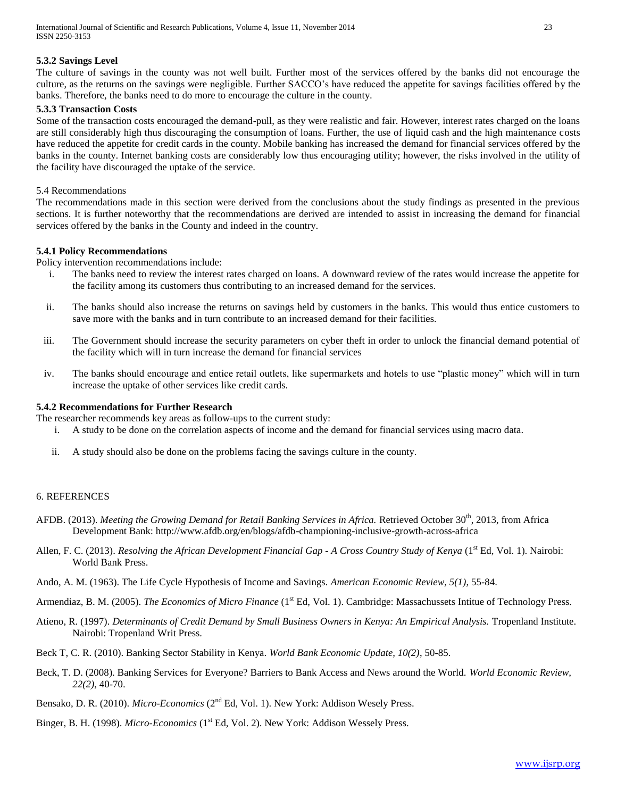## **5.3.2 Savings Level**

The culture of savings in the county was not well built. Further most of the services offered by the banks did not encourage the culture, as the returns on the savings were negligible. Further SACCO's have reduced the appetite for savings facilities offered by the banks. Therefore, the banks need to do more to encourage the culture in the county.

## **5.3.3 Transaction Costs**

Some of the transaction costs encouraged the demand-pull, as they were realistic and fair. However, interest rates charged on the loans are still considerably high thus discouraging the consumption of loans. Further, the use of liquid cash and the high maintenance costs have reduced the appetite for credit cards in the county. Mobile banking has increased the demand for financial services offered by the banks in the county. Internet banking costs are considerably low thus encouraging utility; however, the risks involved in the utility of the facility have discouraged the uptake of the service.

#### 5.4 Recommendations

The recommendations made in this section were derived from the conclusions about the study findings as presented in the previous sections. It is further noteworthy that the recommendations are derived are intended to assist in increasing the demand for financial services offered by the banks in the County and indeed in the country.

#### **5.4.1 Policy Recommendations**

Policy intervention recommendations include:

- i. The banks need to review the interest rates charged on loans. A downward review of the rates would increase the appetite for the facility among its customers thus contributing to an increased demand for the services.
- ii. The banks should also increase the returns on savings held by customers in the banks. This would thus entice customers to save more with the banks and in turn contribute to an increased demand for their facilities.
- iii. The Government should increase the security parameters on cyber theft in order to unlock the financial demand potential of the facility which will in turn increase the demand for financial services
- iv. The banks should encourage and entice retail outlets, like supermarkets and hotels to use "plastic money" which will in turn increase the uptake of other services like credit cards.

## **5.4.2 Recommendations for Further Research**

The researcher recommends key areas as follow-ups to the current study:

- i. A study to be done on the correlation aspects of income and the demand for financial services using macro data.
- ii. A study should also be done on the problems facing the savings culture in the county.

#### 6. REFERENCES

- AFDB. (2013). *Meeting the Growing Demand for Retail Banking Services in Africa. Retrieved October 30<sup>th</sup>, 2013, from Africa* Development Bank: http://www.afdb.org/en/blogs/afdb-championing-inclusive-growth-across-africa
- Allen, F. C. (2013). *Resolving the African Development Financial Gap A Cross Country Study of Kenya* (1<sup>st</sup> Ed, Vol. 1). Nairobi: World Bank Press.
- Ando, A. M. (1963). The Life Cycle Hypothesis of Income and Savings. *American Economic Review, 5(1)*, 55-84.

Armendiaz, B. M. (2005). *The Economics of Micro Finance* (1<sup>st</sup> Ed, Vol. 1). Cambridge: Massachussets Intitue of Technology Press.

- Atieno, R. (1997). *Determinants of Credit Demand by Small Business Owners in Kenya: An Empirical Analysis.* Tropenland Institute. Nairobi: Tropenland Writ Press.
- Beck T, C. R. (2010). Banking Sector Stability in Kenya. *World Bank Economic Update, 10(2)*, 50-85.
- Beck, T. D. (2008). Banking Services for Everyone? Barriers to Bank Access and News around the World. *World Economic Review, 22(2)*, 40-70.
- Bensako, D. R. (2010). *Micro-Economics* (2nd Ed, Vol. 1). New York: Addison Wesely Press.
- Binger, B. H. (1998). *Micro-Economics* (1<sup>st</sup> Ed, Vol. 2). New York: Addison Wessely Press.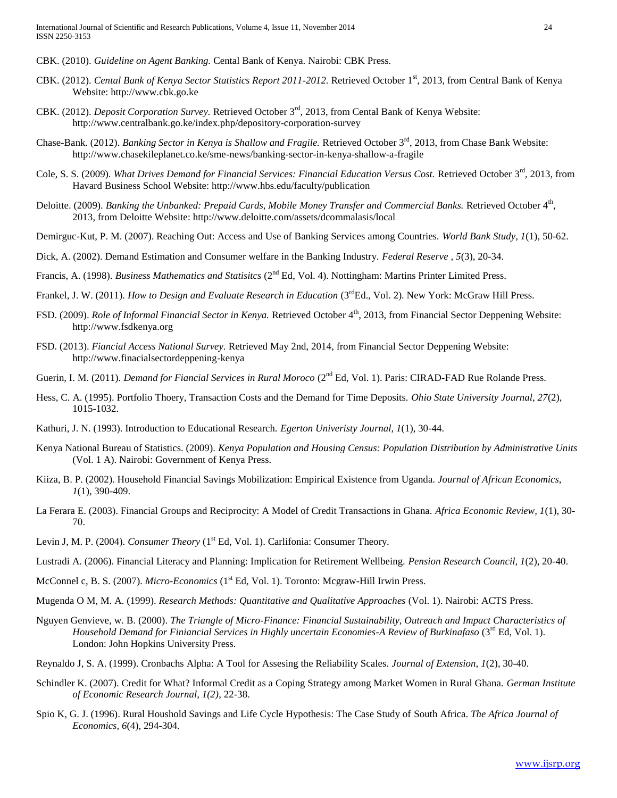- CBK. (2010). *Guideline on Agent Banking.* Cental Bank of Kenya. Nairobi: CBK Press.
- CBK. (2012). *Cental Bank of Kenya Sector Statistics Report 2011-2012.* Retrieved October 1st, 2013, from Central Bank of Kenya Website: http://www.cbk.go.ke
- CBK. (2012). *Deposit Corporation Survey.* Retrieved October 3rd, 2013, from Cental Bank of Kenya Website: http://www.centralbank.go.ke/index.php/depository-corporation-survey
- Chase-Bank. (2012). *Banking Sector in Kenya is Shallow and Fragile*. Retrieved October 3<sup>rd</sup>, 2013, from Chase Bank Website: http://www.chasekileplanet.co.ke/sme-news/banking-sector-in-kenya-shallow-a-fragile
- Cole, S. S. (2009). *What Drives Demand for Financial Services: Financial Education Versus Cost.* Retrieved October 3rd, 2013, from Havard Business School Website: http://www.hbs.edu/faculty/publication
- Deloitte. (2009). *Banking the Unbanked: Prepaid Cards, Mobile Money Transfer and Commercial Banks.* Retrieved October 4<sup>th</sup>, 2013, from Deloitte Website: http://www.deloitte.com/assets/dcommalasis/local
- Demirguc-Kut, P. M. (2007). Reaching Out: Access and Use of Banking Services among Countries. *World Bank Study, 1*(1), 50-62.
- Dick, A. (2002). Demand Estimation and Consumer welfare in the Banking Industry. *Federal Reserve , 5*(3), 20-34.
- Francis, A. (1998). *Business Mathematics and Statisitcs* (2nd Ed, Vol. 4). Nottingham: Martins Printer Limited Press.
- Frankel, J. W. (2011). *How to Design and Evaluate Research in Education* (3<sup>rd</sup>Ed., Vol. 2). New York: McGraw Hill Press.
- FSD. (2009). *Role of Informal Financial Sector in Kenya.* Retrieved October 4<sup>th</sup>, 2013, from Financial Sector Deppening Website: http://www.fsdkenya.org
- FSD. (2013). *Fiancial Access National Survey.* Retrieved May 2nd, 2014, from Financial Sector Deppening Website: http://www.finacialsectordeppening-kenya
- Guerin, I. M. (2011). *Demand for Fiancial Services in Rural Moroco* (2<sup>nd</sup> Ed, Vol. 1). Paris: CIRAD-FAD Rue Rolande Press.
- Hess, C. A. (1995). Portfolio Thoery, Transaction Costs and the Demand for Time Deposits. *Ohio State University Journal, 27*(2), 1015-1032.
- Kathuri, J. N. (1993). Introduction to Educational Research. *Egerton Univeristy Journal, 1*(1), 30-44.
- Kenya National Bureau of Statistics. (2009). *Kenya Population and Housing Census: Population Distribution by Administrative Units* (Vol. 1 A). Nairobi: Government of Kenya Press.
- Kiiza, B. P. (2002). Household Financial Savings Mobilization: Empirical Existence from Uganda. *Journal of African Economics, 1*(1), 390-409.
- La Ferara E. (2003). Financial Groups and Reciprocity: A Model of Credit Transactions in Ghana. *Africa Economic Review, 1*(1), 30- 70.
- Levin J, M. P. (2004). *Consumer Theory* (1<sup>st</sup> Ed, Vol. 1). Carlifonia: Consumer Theory.
- Lustradi A. (2006). Financial Literacy and Planning: Implication for Retirement Wellbeing. *Pension Research Council, 1*(2), 20-40.
- McConnel c, B. S. (2007). *Micro-Economics* (1<sup>st</sup> Ed, Vol. 1). Toronto: Mcgraw-Hill Irwin Press.
- Mugenda O M, M. A. (1999). *Research Methods: Quantitative and Qualitative Approaches* (Vol. 1). Nairobi: ACTS Press.
- Nguyen Genvieve, w. B. (2000). *The Triangle of Micro-Finance: Financial Sustainability, Outreach and Impact Characteristics of Household Demand for Finiancial Services in Highly uncertain Economies-A Review of Burkinafaso* (3<sup>rd</sup> Ed, Vol. 1). London: John Hopkins University Press.
- Reynaldo J, S. A. (1999). Cronbachs Alpha: A Tool for Assesing the Reliability Scales. *Journal of Extension, 1*(2), 30-40.
- Schindler K. (2007). Credit for What? Informal Credit as a Coping Strategy among Market Women in Rural Ghana. *German Institute of Economic Research Journal, 1(2)*, 22-38.
- Spio K, G. J. (1996). Rural Houshold Savings and Life Cycle Hypothesis: The Case Study of South Africa. *The Africa Journal of Economics, 6*(4), 294-304.